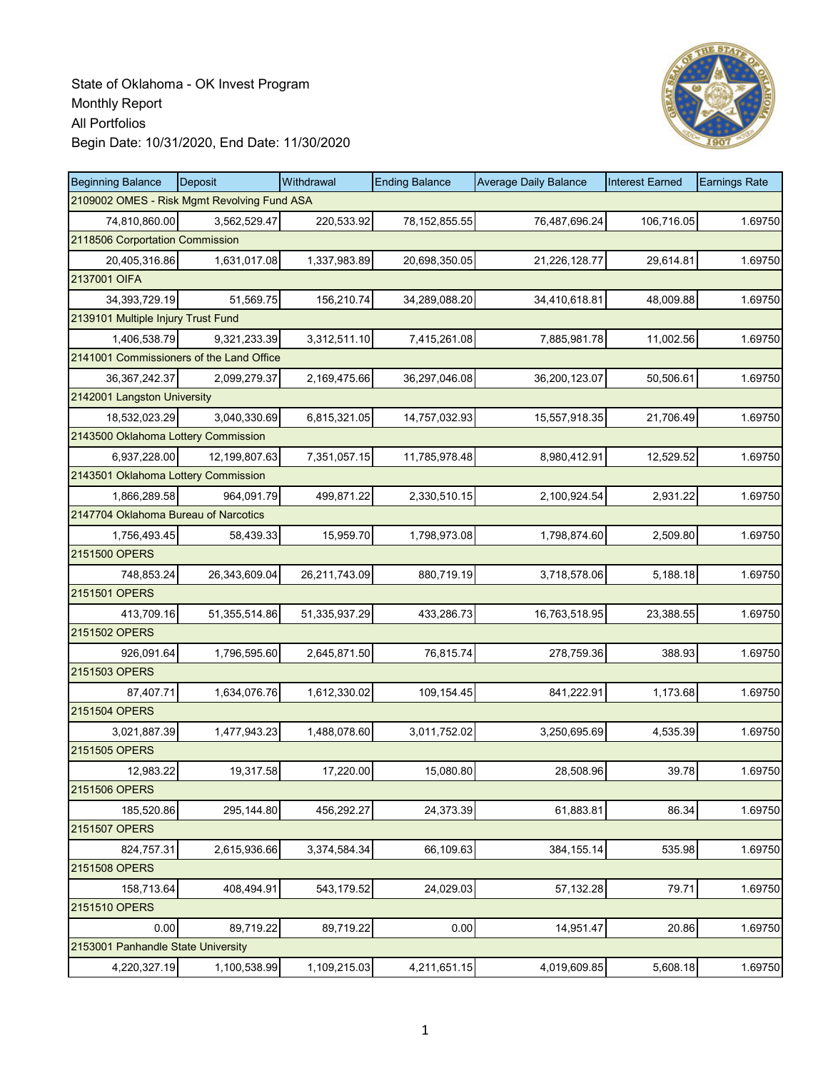

| <b>Beginning Balance</b>                    | Deposit       | Withdrawal    | <b>Ending Balance</b> | <b>Average Daily Balance</b> | <b>Interest Earned</b> | <b>Earnings Rate</b> |
|---------------------------------------------|---------------|---------------|-----------------------|------------------------------|------------------------|----------------------|
| 2109002 OMES - Risk Mgmt Revolving Fund ASA |               |               |                       |                              |                        |                      |
| 74,810,860.00                               | 3,562,529.47  | 220,533.92    | 78, 152, 855.55       | 76,487,696.24                | 106,716.05             | 1.69750              |
| 2118506 Corportation Commission             |               |               |                       |                              |                        |                      |
| 20,405,316.86                               | 1,631,017.08  | 1,337,983.89  | 20,698,350.05         | 21,226,128.77                | 29,614.81              | 1.69750              |
| 2137001 OIFA                                |               |               |                       |                              |                        |                      |
| 34,393,729.19                               | 51,569.75     | 156,210.74    | 34,289,088.20         | 34,410,618.81                | 48,009.88              | 1.69750              |
| 2139101 Multiple Injury Trust Fund          |               |               |                       |                              |                        |                      |
| 1,406,538.79                                | 9,321,233.39  | 3,312,511.10  | 7,415,261.08          | 7,885,981.78                 | 11,002.56              | 1.69750              |
| 2141001 Commissioners of the Land Office    |               |               |                       |                              |                        |                      |
| 36, 367, 242. 37                            | 2,099,279.37  | 2,169,475.66  | 36,297,046.08         | 36,200,123.07                | 50,506.61              | 1.69750              |
| 2142001 Langston University                 |               |               |                       |                              |                        |                      |
| 18,532,023.29                               | 3,040,330.69  | 6,815,321.05  | 14,757,032.93         | 15,557,918.35                | 21,706.49              | 1.69750              |
| 2143500 Oklahoma Lottery Commission         |               |               |                       |                              |                        |                      |
| 6,937,228.00                                | 12,199,807.63 | 7,351,057.15  | 11,785,978.48         | 8,980,412.91                 | 12,529.52              | 1.69750              |
| 2143501 Oklahoma Lottery Commission         |               |               |                       |                              |                        |                      |
| 1,866,289.58                                | 964.091.79    | 499,871.22    | 2,330,510.15          | 2,100,924.54                 | 2,931.22               | 1.69750              |
| 2147704 Oklahoma Bureau of Narcotics        |               |               |                       |                              |                        |                      |
| 1,756,493.45                                | 58,439.33     | 15,959.70     | 1,798,973.08          | 1,798,874.60                 | 2,509.80               | 1.69750              |
| 2151500 OPERS                               |               |               |                       |                              |                        |                      |
| 748,853.24                                  | 26,343,609.04 | 26,211,743.09 | 880,719.19            | 3,718,578.06                 | 5,188.18               | 1.69750              |
| 2151501 OPERS                               |               |               |                       |                              |                        |                      |
| 413,709.16                                  | 51,355,514.86 | 51,335,937.29 | 433,286.73            | 16,763,518.95                | 23,388.55              | 1.69750              |
| 2151502 OPERS                               |               |               |                       |                              |                        |                      |
| 926,091.64                                  | 1,796,595.60  | 2,645,871.50  | 76,815.74             | 278,759.36                   | 388.93                 | 1.69750              |
| 2151503 OPERS                               |               |               |                       |                              |                        |                      |
| 87,407.71                                   | 1,634,076.76  | 1,612,330.02  | 109,154.45            | 841,222.91                   | 1,173.68               | 1.69750              |
| 2151504 OPERS                               |               |               |                       |                              |                        |                      |
| 3,021,887.39                                | 1,477,943.23  | 1,488,078.60  | 3,011,752.02          | 3,250,695.69                 | 4,535.39               | 1.69750              |
| 2151505 OPERS                               |               |               |                       |                              |                        |                      |
| 12,983.22                                   | 19,317.58     | 17,220.00     | 15,080.80             | 28,508.96                    | 39.78                  | 1.69750              |
| 2151506 OPERS                               |               |               |                       |                              |                        |                      |
| 185,520.86                                  | 295,144.80    | 456,292.27    | 24,373.39             | 61,883.81                    | 86.34                  | 1.69750              |
| 2151507 OPERS                               |               |               |                       |                              |                        |                      |
| 824,757.31                                  | 2,615,936.66  | 3,374,584.34  | 66,109.63             | 384, 155. 14                 | 535.98                 | 1.69750              |
| 2151508 OPERS                               |               |               |                       |                              |                        |                      |
| 158,713.64                                  | 408,494.91    | 543,179.52    | 24,029.03             | 57,132.28                    | 79.71                  | 1.69750              |
| 2151510 OPERS                               |               |               |                       |                              |                        |                      |
| 0.00                                        | 89,719.22     | 89,719.22     | 0.00                  | 14,951.47                    | 20.86                  | 1.69750              |
| 2153001 Panhandle State University          |               |               |                       |                              |                        |                      |
| 4,220,327.19                                | 1,100,538.99  | 1,109,215.03  | 4,211,651.15          | 4,019,609.85                 | 5,608.18               | 1.69750              |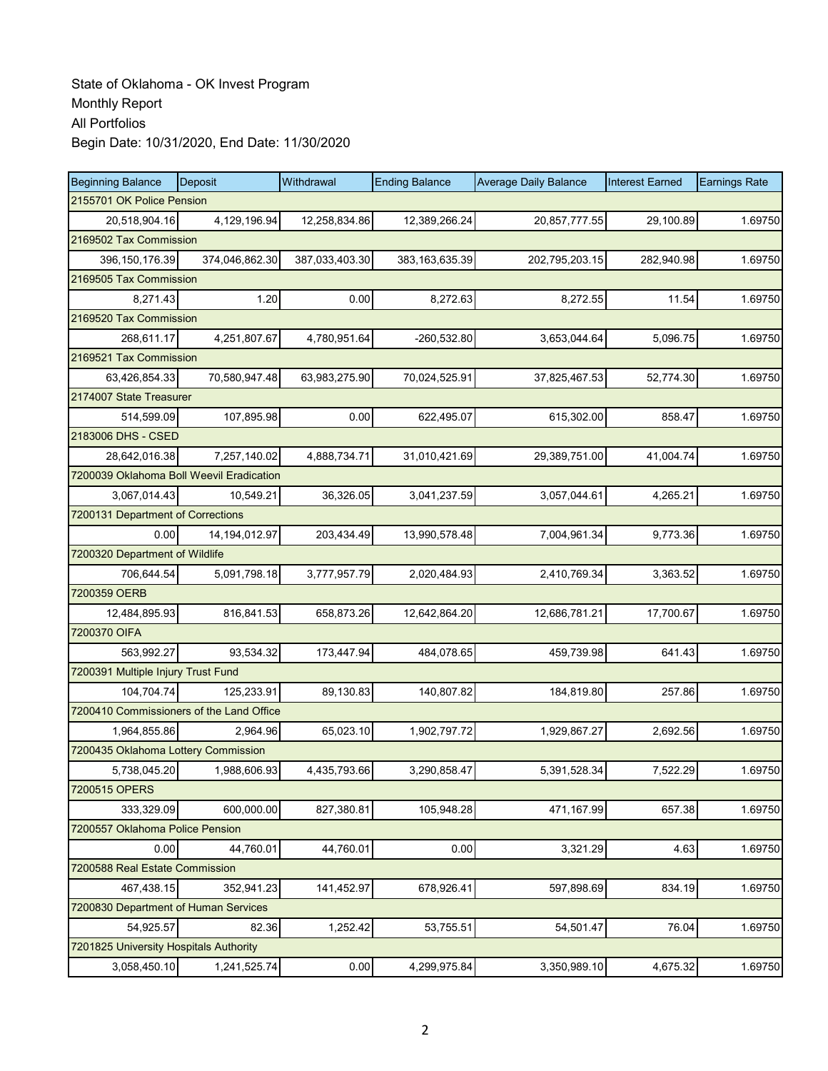| <b>Beginning Balance</b>               | Deposit                                  | Withdrawal     | <b>Ending Balance</b> | <b>Average Daily Balance</b> | <b>Interest Earned</b> | <b>Earnings Rate</b> |  |  |  |
|----------------------------------------|------------------------------------------|----------------|-----------------------|------------------------------|------------------------|----------------------|--|--|--|
| 2155701 OK Police Pension              |                                          |                |                       |                              |                        |                      |  |  |  |
| 20,518,904.16                          | 4,129,196.94                             | 12,258,834.86  | 12,389,266.24         | 20,857,777.55                | 29,100.89              | 1.69750              |  |  |  |
| 2169502 Tax Commission                 |                                          |                |                       |                              |                        |                      |  |  |  |
| 396, 150, 176.39                       | 374,046,862.30                           | 387,033,403.30 | 383, 163, 635. 39     | 202,795,203.15               | 282,940.98             | 1.69750              |  |  |  |
| 2169505 Tax Commission                 |                                          |                |                       |                              |                        |                      |  |  |  |
| 8,271.43                               | 1.20                                     | 0.00           | 8,272.63              | 8,272.55                     | 11.54                  | 1.69750              |  |  |  |
| 2169520 Tax Commission                 |                                          |                |                       |                              |                        |                      |  |  |  |
| 268,611.17                             | 4,251,807.67                             | 4,780,951.64   | -260,532.80           | 3,653,044.64                 | 5,096.75               | 1.69750              |  |  |  |
| 2169521 Tax Commission                 |                                          |                |                       |                              |                        |                      |  |  |  |
| 63,426,854.33                          | 70,580,947.48                            | 63,983,275.90  | 70,024,525.91         | 37,825,467.53                | 52,774.30              | 1.69750              |  |  |  |
| 2174007 State Treasurer                |                                          |                |                       |                              |                        |                      |  |  |  |
| 514,599.09                             | 107,895.98                               | 0.00           | 622,495.07            | 615,302.00                   | 858.47                 | 1.69750              |  |  |  |
| 2183006 DHS - CSED                     |                                          |                |                       |                              |                        |                      |  |  |  |
| 28,642,016.38                          | 7,257,140.02                             | 4,888,734.71   | 31,010,421.69         | 29,389,751.00                | 41,004.74              | 1.69750              |  |  |  |
|                                        | 7200039 Oklahoma Boll Weevil Eradication |                |                       |                              |                        |                      |  |  |  |
| 3,067,014.43                           | 10,549.21                                | 36,326.05      | 3,041,237.59          | 3,057,044.61                 | 4,265.21               | 1.69750              |  |  |  |
| 7200131 Department of Corrections      |                                          |                |                       |                              |                        |                      |  |  |  |
| 0.00                                   | 14, 194, 012.97                          | 203,434.49     | 13,990,578.48         | 7,004,961.34                 | 9,773.36               | 1.69750              |  |  |  |
| 7200320 Department of Wildlife         |                                          |                |                       |                              |                        |                      |  |  |  |
| 706,644.54                             | 5,091,798.18                             | 3,777,957.79   | 2,020,484.93          | 2,410,769.34                 | 3,363.52               | 1.69750              |  |  |  |
| 7200359 OERB                           |                                          |                |                       |                              |                        |                      |  |  |  |
| 12,484,895.93                          | 816,841.53                               | 658,873.26     | 12,642,864.20         | 12,686,781.21                | 17,700.67              | 1.69750              |  |  |  |
| 7200370 OIFA                           |                                          |                |                       |                              |                        |                      |  |  |  |
| 563,992.27                             | 93,534.32                                | 173,447.94     | 484,078.65            | 459,739.98                   | 641.43                 | 1.69750              |  |  |  |
| 7200391 Multiple Injury Trust Fund     |                                          |                |                       |                              |                        |                      |  |  |  |
| 104,704.74                             | 125,233.91                               | 89,130.83      | 140,807.82            | 184,819.80                   | 257.86                 | 1.69750              |  |  |  |
|                                        | 7200410 Commissioners of the Land Office |                |                       |                              |                        |                      |  |  |  |
| 1,964,855.86                           | 2,964.96                                 | 65,023.10      | 1,902,797.72          | 1,929,867.27                 | 2,692.56               | 1.69750              |  |  |  |
| 7200435 Oklahoma Lottery Commission    |                                          |                |                       |                              |                        |                      |  |  |  |
| 5,738,045.20                           | 1,988,606.93                             | 4,435,793.66   | 3,290,858.47          | 5,391,528.34                 | 7,522.29               | 1.69750              |  |  |  |
| 7200515 OPERS                          |                                          |                |                       |                              |                        |                      |  |  |  |
| 333,329.09                             | 600,000.00                               | 827,380.81     | 105,948.28            | 471,167.99                   | 657.38                 | 1.69750              |  |  |  |
| 7200557 Oklahoma Police Pension        |                                          |                |                       |                              |                        |                      |  |  |  |
| 0.00                                   | 44,760.01                                | 44,760.01      | 0.00                  | 3,321.29                     | 4.63                   | 1.69750              |  |  |  |
| 7200588 Real Estate Commission         |                                          |                |                       |                              |                        |                      |  |  |  |
| 467,438.15                             | 352,941.23                               | 141,452.97     | 678,926.41            | 597,898.69                   | 834.19                 | 1.69750              |  |  |  |
| 7200830 Department of Human Services   |                                          |                |                       |                              |                        |                      |  |  |  |
| 54,925.57                              | 82.36                                    | 1,252.42       | 53,755.51             | 54,501.47                    | 76.04                  | 1.69750              |  |  |  |
| 7201825 University Hospitals Authority |                                          |                |                       |                              |                        |                      |  |  |  |
| 3,058,450.10                           | 1,241,525.74                             | 0.00           | 4,299,975.84          | 3,350,989.10                 | 4,675.32               | 1.69750              |  |  |  |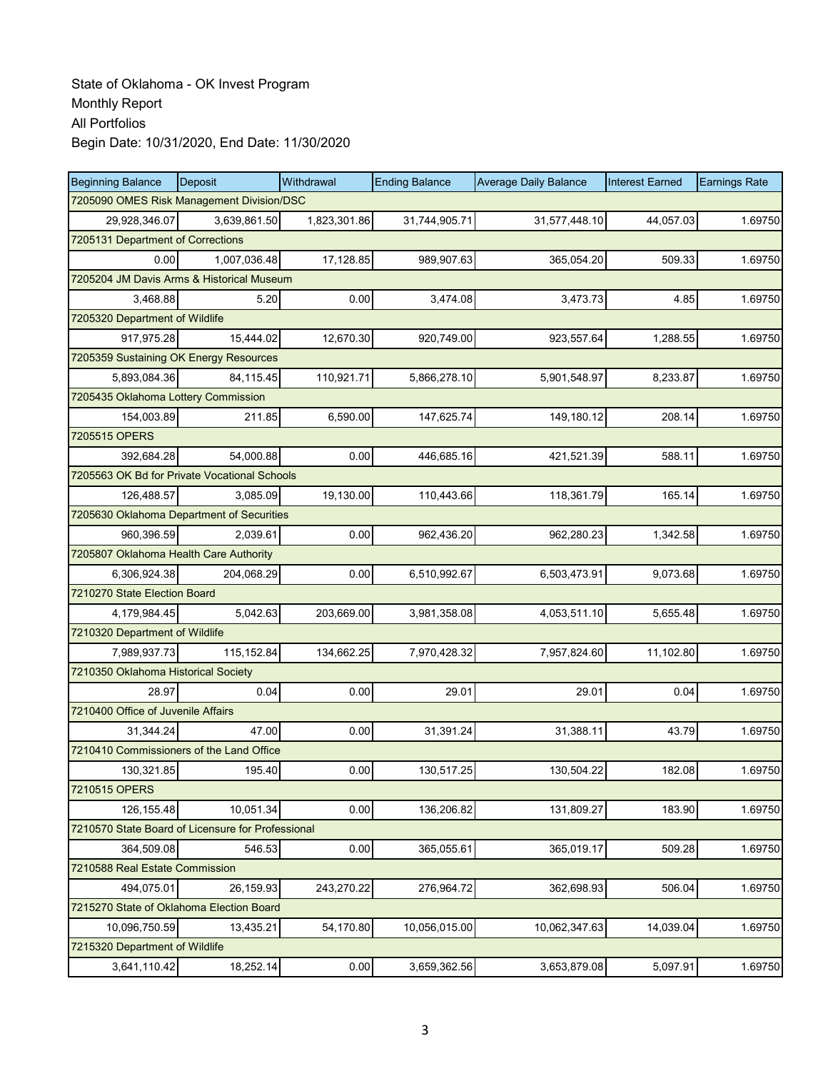| <b>Beginning Balance</b>                          | Deposit      | Withdrawal   | <b>Ending Balance</b> | <b>Average Daily Balance</b> | <b>Interest Earned</b> | <b>Earnings Rate</b> |
|---------------------------------------------------|--------------|--------------|-----------------------|------------------------------|------------------------|----------------------|
| 7205090 OMES Risk Management Division/DSC         |              |              |                       |                              |                        |                      |
| 29,928,346.07                                     | 3,639,861.50 | 1,823,301.86 | 31,744,905.71         | 31,577,448.10                | 44,057.03              | 1.69750              |
| 7205131 Department of Corrections                 |              |              |                       |                              |                        |                      |
| 0.00                                              | 1,007,036.48 | 17,128.85    | 989,907.63            | 365,054.20                   | 509.33                 | 1.69750              |
| 7205204 JM Davis Arms & Historical Museum         |              |              |                       |                              |                        |                      |
| 3,468.88                                          | 5.20         | 0.00         | 3,474.08              | 3,473.73                     | 4.85                   | 1.69750              |
| 7205320 Department of Wildlife                    |              |              |                       |                              |                        |                      |
| 917.975.28                                        | 15,444.02    | 12,670.30    | 920,749.00            | 923,557.64                   | 1,288.55               | 1.69750              |
| 7205359 Sustaining OK Energy Resources            |              |              |                       |                              |                        |                      |
| 5,893,084.36                                      | 84,115.45    | 110,921.71   | 5,866,278.10          | 5,901,548.97                 | 8,233.87               | 1.69750              |
| 7205435 Oklahoma Lottery Commission               |              |              |                       |                              |                        |                      |
| 154,003.89                                        | 211.85       | 6,590.00     | 147,625.74            | 149,180.12                   | 208.14                 | 1.69750              |
| 7205515 OPERS                                     |              |              |                       |                              |                        |                      |
| 392,684.28                                        | 54,000.88    | 0.00         | 446,685.16            | 421,521.39                   | 588.11                 | 1.69750              |
| 7205563 OK Bd for Private Vocational Schools      |              |              |                       |                              |                        |                      |
| 126,488.57                                        | 3,085.09     | 19,130.00    | 110,443.66            | 118,361.79                   | 165.14                 | 1.69750              |
| 7205630 Oklahoma Department of Securities         |              |              |                       |                              |                        |                      |
| 960,396.59                                        | 2,039.61     | 0.00         | 962,436.20            | 962,280.23                   | 1,342.58               | 1.69750              |
| 7205807 Oklahoma Health Care Authority            |              |              |                       |                              |                        |                      |
| 6,306,924.38                                      | 204,068.29   | 0.00         | 6,510,992.67          | 6,503,473.91                 | 9,073.68               | 1.69750              |
| 7210270 State Election Board                      |              |              |                       |                              |                        |                      |
| 4,179,984.45                                      | 5,042.63     | 203,669.00   | 3,981,358.08          | 4,053,511.10                 | 5,655.48               | 1.69750              |
| 7210320 Department of Wildlife                    |              |              |                       |                              |                        |                      |
| 7,989,937.73                                      | 115,152.84   | 134,662.25   | 7,970,428.32          | 7,957,824.60                 | 11,102.80              | 1.69750              |
| 7210350 Oklahoma Historical Society               |              |              |                       |                              |                        |                      |
| 28.97                                             | 0.04         | 0.00         | 29.01                 | 29.01                        | 0.04                   | 1.69750              |
| 7210400 Office of Juvenile Affairs                |              |              |                       |                              |                        |                      |
| 31,344.24                                         | 47.00        | 0.00         | 31,391.24             | 31,388.11                    | 43.79                  | 1.69750              |
| 7210410 Commissioners of the Land Office          |              |              |                       |                              |                        |                      |
| 130,321.85                                        | 195.40       | 0.00         | 130,517.25            | 130,504.22                   | 182.08                 | 1.69750              |
| 7210515 OPERS                                     |              |              |                       |                              |                        |                      |
| 126, 155.48                                       | 10,051.34    | 0.00         | 136,206.82            | 131,809.27                   | 183.90                 | 1.69750              |
| 7210570 State Board of Licensure for Professional |              |              |                       |                              |                        |                      |
| 364,509.08                                        | 546.53       | 0.00         | 365,055.61            | 365,019.17                   | 509.28                 | 1.69750              |
| 7210588 Real Estate Commission                    |              |              |                       |                              |                        |                      |
| 494,075.01                                        | 26,159.93    | 243,270.22   | 276,964.72            | 362,698.93                   | 506.04                 | 1.69750              |
| 7215270 State of Oklahoma Election Board          |              |              |                       |                              |                        |                      |
| 10,096,750.59                                     | 13,435.21    | 54,170.80    | 10,056,015.00         | 10,062,347.63                | 14,039.04              | 1.69750              |
| 7215320 Department of Wildlife                    |              |              |                       |                              |                        |                      |
| 3,641,110.42                                      | 18,252.14    | 0.00         | 3,659,362.56          | 3,653,879.08                 | 5,097.91               | 1.69750              |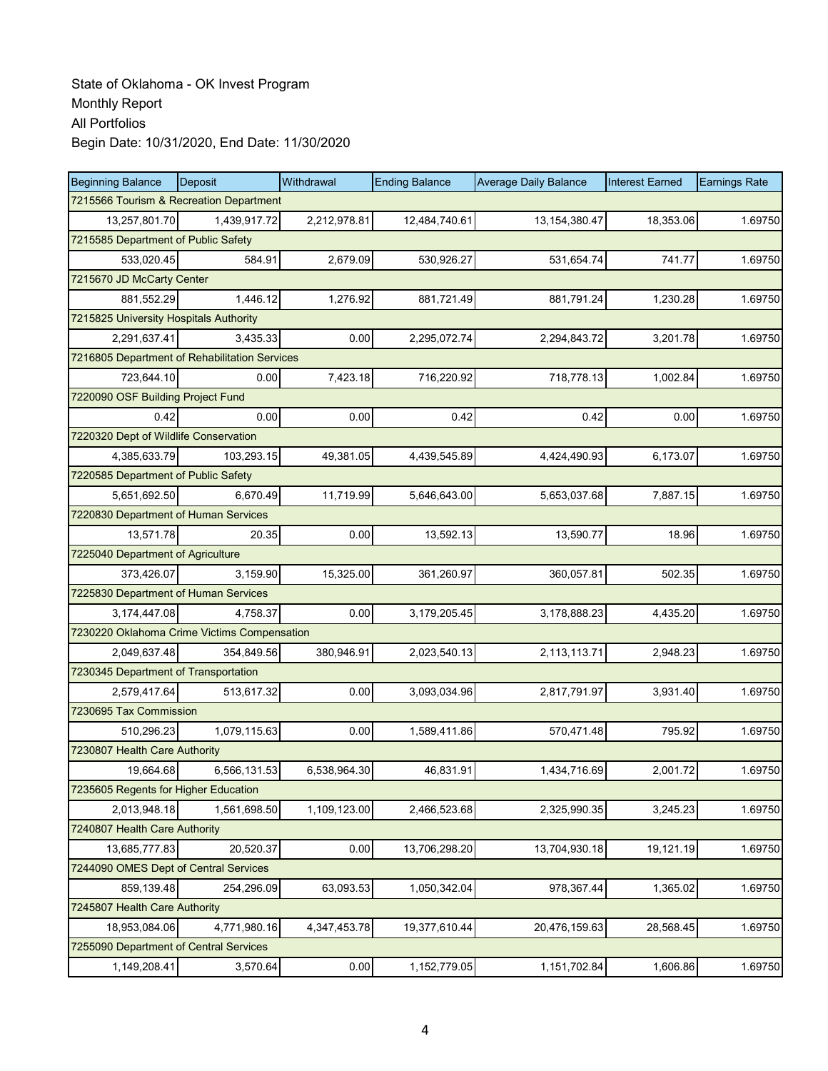| <b>Beginning Balance</b>                      | <b>Deposit</b> | Withdrawal   | <b>Ending Balance</b> | <b>Average Daily Balance</b> | <b>Interest Earned</b> | <b>Earnings Rate</b> |  |  |
|-----------------------------------------------|----------------|--------------|-----------------------|------------------------------|------------------------|----------------------|--|--|
| 7215566 Tourism & Recreation Department       |                |              |                       |                              |                        |                      |  |  |
| 13,257,801.70                                 | 1,439,917.72   | 2,212,978.81 | 12,484,740.61         | 13, 154, 380. 47             | 18,353.06              | 1.69750              |  |  |
| 7215585 Department of Public Safety           |                |              |                       |                              |                        |                      |  |  |
| 533,020.45                                    | 584.91         | 2,679.09     | 530,926.27            | 531,654.74                   | 741.77                 | 1.69750              |  |  |
| 7215670 JD McCarty Center                     |                |              |                       |                              |                        |                      |  |  |
| 881,552.29                                    | 1,446.12       | 1,276.92     | 881,721.49            | 881,791.24                   | 1,230.28               | 1.69750              |  |  |
| 7215825 University Hospitals Authority        |                |              |                       |                              |                        |                      |  |  |
| 2.291.637.41                                  | 3,435.33       | 0.00         | 2,295,072.74          | 2,294,843.72                 | 3,201.78               | 1.69750              |  |  |
| 7216805 Department of Rehabilitation Services |                |              |                       |                              |                        |                      |  |  |
| 723,644.10                                    | 0.00           | 7,423.18     | 716,220.92            | 718,778.13                   | 1,002.84               | 1.69750              |  |  |
| 7220090 OSF Building Project Fund             |                |              |                       |                              |                        |                      |  |  |
| 0.42                                          | 0.00           | 0.00         | 0.42                  | 0.42                         | 0.00                   | 1.69750              |  |  |
| 7220320 Dept of Wildlife Conservation         |                |              |                       |                              |                        |                      |  |  |
| 4.385.633.79                                  | 103.293.15     | 49,381.05    | 4,439,545.89          | 4,424,490.93                 | 6,173.07               | 1.69750              |  |  |
| 7220585 Department of Public Safety           |                |              |                       |                              |                        |                      |  |  |
| 5,651,692.50                                  | 6,670.49       | 11,719.99    | 5,646,643.00          | 5,653,037.68                 | 7,887.15               | 1.69750              |  |  |
| 7220830 Department of Human Services          |                |              |                       |                              |                        |                      |  |  |
| 13,571.78                                     | 20.35          | 0.00         | 13,592.13             | 13,590.77                    | 18.96                  | 1.69750              |  |  |
| 7225040 Department of Agriculture             |                |              |                       |                              |                        |                      |  |  |
| 373,426.07                                    | 3,159.90       | 15,325.00    | 361,260.97            | 360,057.81                   | 502.35                 | 1.69750              |  |  |
| 7225830 Department of Human Services          |                |              |                       |                              |                        |                      |  |  |
| 3,174,447.08                                  | 4,758.37       | 0.00         | 3,179,205.45          | 3,178,888.23                 | 4,435.20               | 1.69750              |  |  |
| 7230220 Oklahoma Crime Victims Compensation   |                |              |                       |                              |                        |                      |  |  |
| 2,049,637.48                                  | 354,849.56     | 380,946.91   | 2,023,540.13          | 2,113,113.71                 | 2,948.23               | 1.69750              |  |  |
| 7230345 Department of Transportation          |                |              |                       |                              |                        |                      |  |  |
| 2,579,417.64                                  | 513,617.32     | 0.00         | 3,093,034.96          | 2,817,791.97                 | 3,931.40               | 1.69750              |  |  |
| 7230695 Tax Commission                        |                |              |                       |                              |                        |                      |  |  |
| 510.296.23                                    | 1,079,115.63   | 0.00         | 1,589,411.86          | 570,471.48                   | 795.92                 | 1.69750              |  |  |
| 7230807 Health Care Authority                 |                |              |                       |                              |                        |                      |  |  |
| 19.664.68                                     | 6,566,131.53   | 6,538,964.30 | 46.831.91             | 1,434,716.69                 | 2,001.72               | 1.69750              |  |  |
| 7235605 Regents for Higher Education          |                |              |                       |                              |                        |                      |  |  |
| 2,013,948.18                                  | 1,561,698.50   | 1,109,123.00 | 2,466,523.68          | 2,325,990.35                 | 3,245.23               | 1.69750              |  |  |
| 7240807 Health Care Authority                 |                |              |                       |                              |                        |                      |  |  |
| 13,685,777.83                                 | 20,520.37      | 0.00         | 13,706,298.20         | 13,704,930.18                | 19,121.19              | 1.69750              |  |  |
| 7244090 OMES Dept of Central Services         |                |              |                       |                              |                        |                      |  |  |
| 859,139.48                                    | 254,296.09     | 63,093.53    | 1,050,342.04          | 978,367.44                   | 1,365.02               | 1.69750              |  |  |
| 7245807 Health Care Authority                 |                |              |                       |                              |                        |                      |  |  |
| 18,953,084.06                                 | 4,771,980.16   | 4,347,453.78 | 19,377,610.44         | 20,476,159.63                | 28,568.45              | 1.69750              |  |  |
| 7255090 Department of Central Services        |                |              |                       |                              |                        |                      |  |  |
| 1,149,208.41                                  | 3,570.64       | 0.00         | 1,152,779.05          | 1,151,702.84                 | 1,606.86               | 1.69750              |  |  |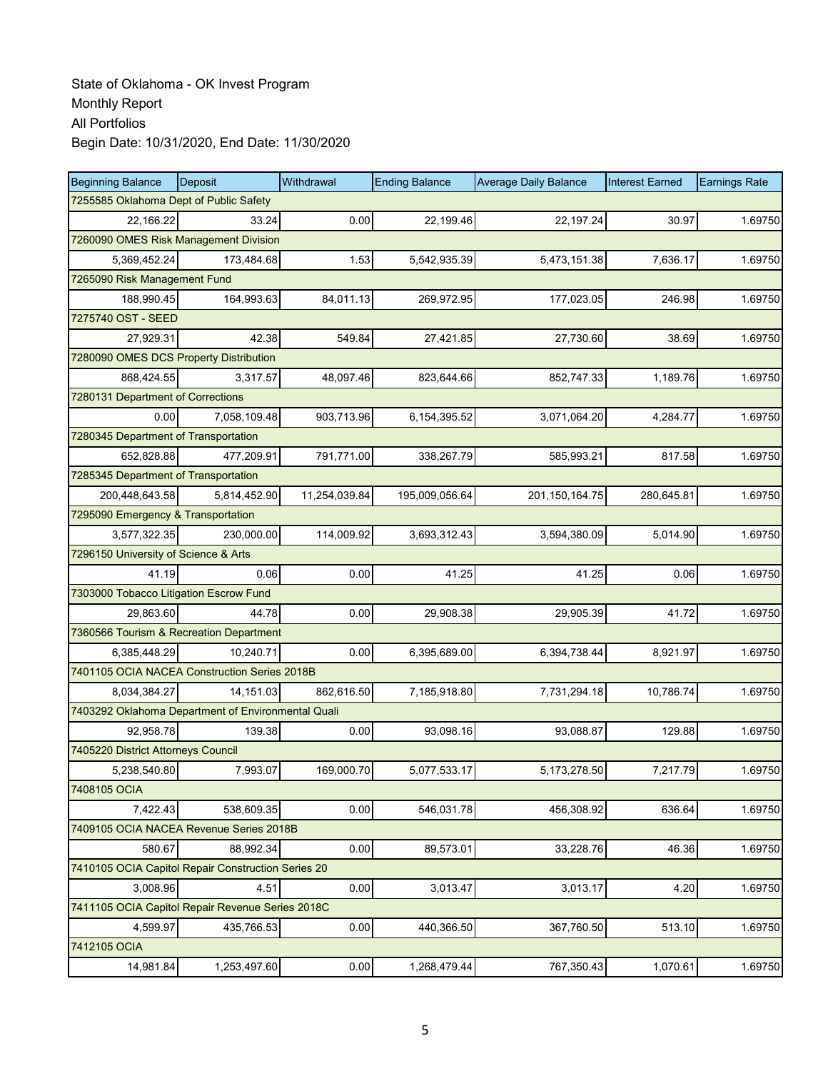| <b>Beginning Balance</b>                           | Deposit                                | Withdrawal    | <b>Ending Balance</b> | <b>Average Daily Balance</b> | <b>Interest Earned</b> | <b>Earnings Rate</b> |  |  |  |
|----------------------------------------------------|----------------------------------------|---------------|-----------------------|------------------------------|------------------------|----------------------|--|--|--|
|                                                    | 7255585 Oklahoma Dept of Public Safety |               |                       |                              |                        |                      |  |  |  |
| 22,166.22                                          | 33.24                                  | 0.00          | 22,199.46             | 22,197.24                    | 30.97                  | 1.69750              |  |  |  |
| 7260090 OMES Risk Management Division              |                                        |               |                       |                              |                        |                      |  |  |  |
| 5,369,452.24                                       | 173,484.68                             | 1.53          | 5,542,935.39          | 5,473,151.38                 | 7,636.17               | 1.69750              |  |  |  |
| 7265090 Risk Management Fund                       |                                        |               |                       |                              |                        |                      |  |  |  |
| 188,990.45                                         | 164,993.63                             | 84,011.13     | 269,972.95            | 177,023.05                   | 246.98                 | 1.69750              |  |  |  |
| 7275740 OST - SEED                                 |                                        |               |                       |                              |                        |                      |  |  |  |
| 27,929.31                                          | 42.38                                  | 549.84        | 27,421.85             | 27,730.60                    | 38.69                  | 1.69750              |  |  |  |
| 7280090 OMES DCS Property Distribution             |                                        |               |                       |                              |                        |                      |  |  |  |
| 868,424.55                                         | 3,317.57                               | 48,097.46     | 823,644.66            | 852,747.33                   | 1,189.76               | 1.69750              |  |  |  |
| 7280131 Department of Corrections                  |                                        |               |                       |                              |                        |                      |  |  |  |
| 0.00                                               | 7,058,109.48                           | 903,713.96    | 6,154,395.52          | 3,071,064.20                 | 4,284.77               | 1.69750              |  |  |  |
| 7280345 Department of Transportation               |                                        |               |                       |                              |                        |                      |  |  |  |
| 652.828.88                                         | 477.209.91                             | 791,771.00    | 338,267.79            | 585,993.21                   | 817.58                 | 1.69750              |  |  |  |
| 7285345 Department of Transportation               |                                        |               |                       |                              |                        |                      |  |  |  |
| 200,448,643.58                                     | 5,814,452.90                           | 11,254,039.84 | 195,009,056.64        | 201, 150, 164. 75            | 280,645.81             | 1.69750              |  |  |  |
| 7295090 Emergency & Transportation                 |                                        |               |                       |                              |                        |                      |  |  |  |
| 3,577,322.35                                       | 230,000.00                             | 114,009.92    | 3,693,312.43          | 3,594,380.09                 | 5,014.90               | 1.69750              |  |  |  |
| 7296150 University of Science & Arts               |                                        |               |                       |                              |                        |                      |  |  |  |
| 41.19                                              | 0.06                                   | 0.00          | 41.25                 | 41.25                        | 0.06                   | 1.69750              |  |  |  |
| 7303000 Tobacco Litigation Escrow Fund             |                                        |               |                       |                              |                        |                      |  |  |  |
| 29,863.60                                          | 44.78                                  | 0.00          | 29,908.38             | 29,905.39                    | 41.72                  | 1.69750              |  |  |  |
| 7360566 Tourism & Recreation Department            |                                        |               |                       |                              |                        |                      |  |  |  |
| 6,385,448.29                                       | 10,240.71                              | 0.00          | 6,395,689.00          | 6,394,738.44                 | 8,921.97               | 1.69750              |  |  |  |
| 7401105 OCIA NACEA Construction Series 2018B       |                                        |               |                       |                              |                        |                      |  |  |  |
| 8,034,384.27                                       | 14,151.03                              | 862,616.50    | 7,185,918.80          | 7,731,294.18                 | 10,786.74              | 1.69750              |  |  |  |
| 7403292 Oklahoma Department of Environmental Quali |                                        |               |                       |                              |                        |                      |  |  |  |
| 92,958.78                                          | 139.38                                 | 0.00          | 93,098.16             | 93,088.87                    | 129.88                 | 1.69750              |  |  |  |
| 7405220 District Attorneys Council                 |                                        |               |                       |                              |                        |                      |  |  |  |
| 5,238,540.80                                       | 7,993.07                               | 169,000.70    | 5,077,533.17          | 5.173.278.50                 | 7,217.79               | 1.69750              |  |  |  |
| 7408105 OCIA                                       |                                        |               |                       |                              |                        |                      |  |  |  |
| 7,422.43                                           | 538,609.35                             | 0.00          | 546,031.78            | 456,308.92                   | 636.64                 | 1.69750              |  |  |  |
| 7409105 OCIA NACEA Revenue Series 2018B            |                                        |               |                       |                              |                        |                      |  |  |  |
| 580.67                                             | 88,992.34                              | 0.00          | 89,573.01             | 33,228.76                    | 46.36                  | 1.69750              |  |  |  |
| 7410105 OCIA Capitol Repair Construction Series 20 |                                        |               |                       |                              |                        |                      |  |  |  |
| 3,008.96                                           | 4.51                                   | 0.00          | 3,013.47              | 3,013.17                     | 4.20                   | 1.69750              |  |  |  |
| 7411105 OCIA Capitol Repair Revenue Series 2018C   |                                        |               |                       |                              |                        |                      |  |  |  |
| 4,599.97                                           | 435,766.53                             | 0.00          | 440,366.50            | 367,760.50                   | 513.10                 | 1.69750              |  |  |  |
| 7412105 OCIA                                       |                                        |               |                       |                              |                        |                      |  |  |  |
| 14,981.84                                          | 1,253,497.60                           | 0.00          | 1,268,479.44          | 767,350.43                   | 1,070.61               | 1.69750              |  |  |  |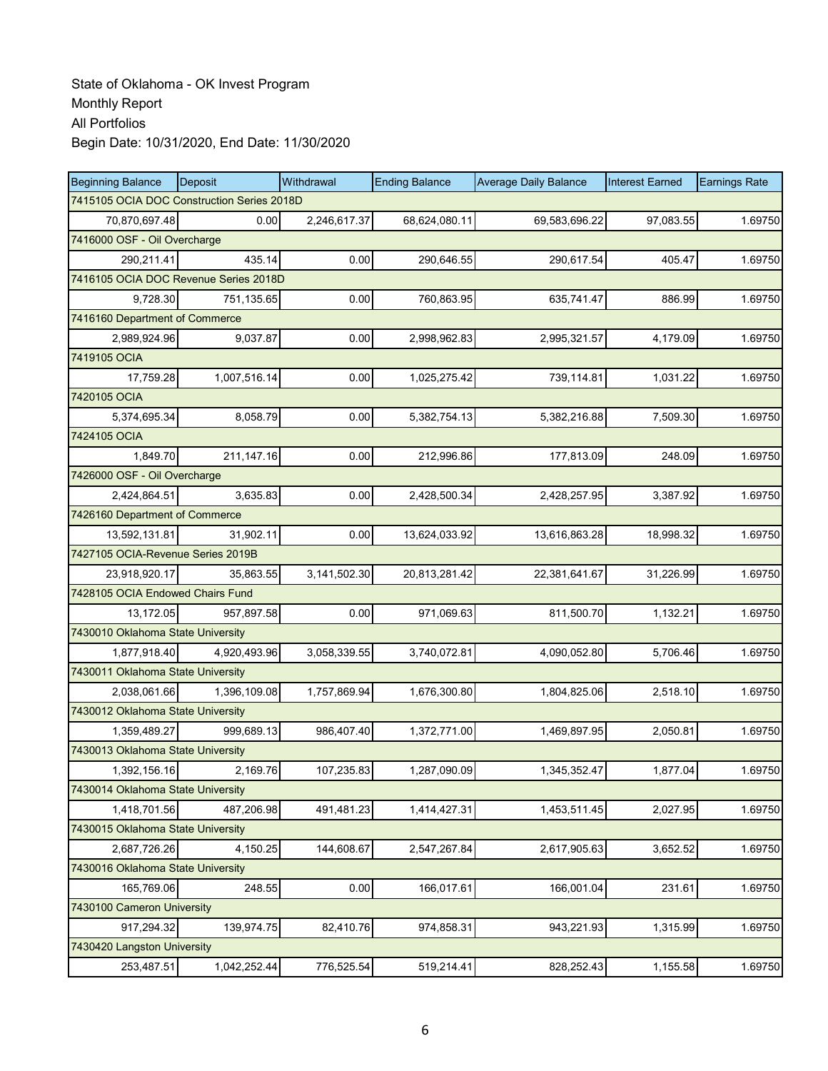| <b>Beginning Balance</b>          | Deposit                                    | Withdrawal   | <b>Ending Balance</b> | <b>Average Daily Balance</b> | <b>Interest Earned</b> | <b>Earnings Rate</b> |  |  |  |
|-----------------------------------|--------------------------------------------|--------------|-----------------------|------------------------------|------------------------|----------------------|--|--|--|
|                                   | 7415105 OCIA DOC Construction Series 2018D |              |                       |                              |                        |                      |  |  |  |
| 70,870,697.48                     | 0.00                                       | 2,246,617.37 | 68,624,080.11         | 69,583,696.22                | 97,083.55              | 1.69750              |  |  |  |
| 7416000 OSF - Oil Overcharge      |                                            |              |                       |                              |                        |                      |  |  |  |
| 290,211.41                        | 435.14                                     | 0.00         | 290,646.55            | 290,617.54                   | 405.47                 | 1.69750              |  |  |  |
|                                   | 7416105 OCIA DOC Revenue Series 2018D      |              |                       |                              |                        |                      |  |  |  |
| 9,728.30                          | 751,135.65                                 | 0.00         | 760,863.95            | 635,741.47                   | 886.99                 | 1.69750              |  |  |  |
| 7416160 Department of Commerce    |                                            |              |                       |                              |                        |                      |  |  |  |
| 2,989,924.96                      | 9,037.87                                   | 0.00         | 2,998,962.83          | 2,995,321.57                 | 4,179.09               | 1.69750              |  |  |  |
| 7419105 OCIA                      |                                            |              |                       |                              |                        |                      |  |  |  |
| 17,759.28                         | 1,007,516.14                               | 0.00         | 1,025,275.42          | 739,114.81                   | 1,031.22               | 1.69750              |  |  |  |
| 7420105 OCIA                      |                                            |              |                       |                              |                        |                      |  |  |  |
| 5,374,695.34                      | 8,058.79                                   | 0.00         | 5,382,754.13          | 5,382,216.88                 | 7,509.30               | 1.69750              |  |  |  |
| 7424105 OCIA                      |                                            |              |                       |                              |                        |                      |  |  |  |
| 1,849.70                          | 211,147.16                                 | 0.00         | 212,996.86            | 177,813.09                   | 248.09                 | 1.69750              |  |  |  |
| 7426000 OSF - Oil Overcharge      |                                            |              |                       |                              |                        |                      |  |  |  |
| 2,424,864.51                      | 3,635.83                                   | 0.00         | 2,428,500.34          | 2,428,257.95                 | 3,387.92               | 1.69750              |  |  |  |
| 7426160 Department of Commerce    |                                            |              |                       |                              |                        |                      |  |  |  |
| 13,592,131.81                     | 31,902.11                                  | 0.00         | 13,624,033.92         | 13,616,863.28                | 18,998.32              | 1.69750              |  |  |  |
| 7427105 OCIA-Revenue Series 2019B |                                            |              |                       |                              |                        |                      |  |  |  |
| 23,918,920.17                     | 35,863.55                                  | 3,141,502.30 | 20,813,281.42         | 22,381,641.67                | 31,226.99              | 1.69750              |  |  |  |
| 7428105 OCIA Endowed Chairs Fund  |                                            |              |                       |                              |                        |                      |  |  |  |
| 13,172.05                         | 957,897.58                                 | 0.00         | 971,069.63            | 811,500.70                   | 1,132.21               | 1.69750              |  |  |  |
| 7430010 Oklahoma State University |                                            |              |                       |                              |                        |                      |  |  |  |
| 1,877,918.40                      | 4,920,493.96                               | 3,058,339.55 | 3,740,072.81          | 4,090,052.80                 | 5,706.46               | 1.69750              |  |  |  |
| 7430011 Oklahoma State University |                                            |              |                       |                              |                        |                      |  |  |  |
| 2,038,061.66                      | 1,396,109.08                               | 1,757,869.94 | 1,676,300.80          | 1,804,825.06                 | 2,518.10               | 1.69750              |  |  |  |
| 7430012 Oklahoma State University |                                            |              |                       |                              |                        |                      |  |  |  |
| 1,359,489.27                      | 999,689.13                                 | 986,407.40   | 1,372,771.00          | 1,469,897.95                 | 2,050.81               | 1.69750              |  |  |  |
| 7430013 Oklahoma State University |                                            |              |                       |                              |                        |                      |  |  |  |
| 1,392,156.16                      | 2,169.76                                   | 107,235.83   | 1.287.090.09          | 1,345,352.47                 | 1,877.04               | 1.69750              |  |  |  |
| 7430014 Oklahoma State University |                                            |              |                       |                              |                        |                      |  |  |  |
| 1,418,701.56                      | 487,206.98                                 | 491,481.23   | 1,414,427.31          | 1,453,511.45                 | 2,027.95               | 1.69750              |  |  |  |
| 7430015 Oklahoma State University |                                            |              |                       |                              |                        |                      |  |  |  |
| 2,687,726.26                      | 4,150.25                                   | 144,608.67   | 2,547,267.84          | 2,617,905.63                 | 3,652.52               | 1.69750              |  |  |  |
| 7430016 Oklahoma State University |                                            |              |                       |                              |                        |                      |  |  |  |
| 165,769.06                        | 248.55                                     | 0.00         | 166,017.61            | 166,001.04                   | 231.61                 | 1.69750              |  |  |  |
| 7430100 Cameron University        |                                            |              |                       |                              |                        |                      |  |  |  |
| 917,294.32                        | 139,974.75                                 | 82,410.76    | 974,858.31            | 943,221.93                   | 1,315.99               | 1.69750              |  |  |  |
| 7430420 Langston University       |                                            |              |                       |                              |                        |                      |  |  |  |
| 253,487.51                        | 1,042,252.44                               | 776,525.54   | 519,214.41            | 828,252.43                   | 1,155.58               | 1.69750              |  |  |  |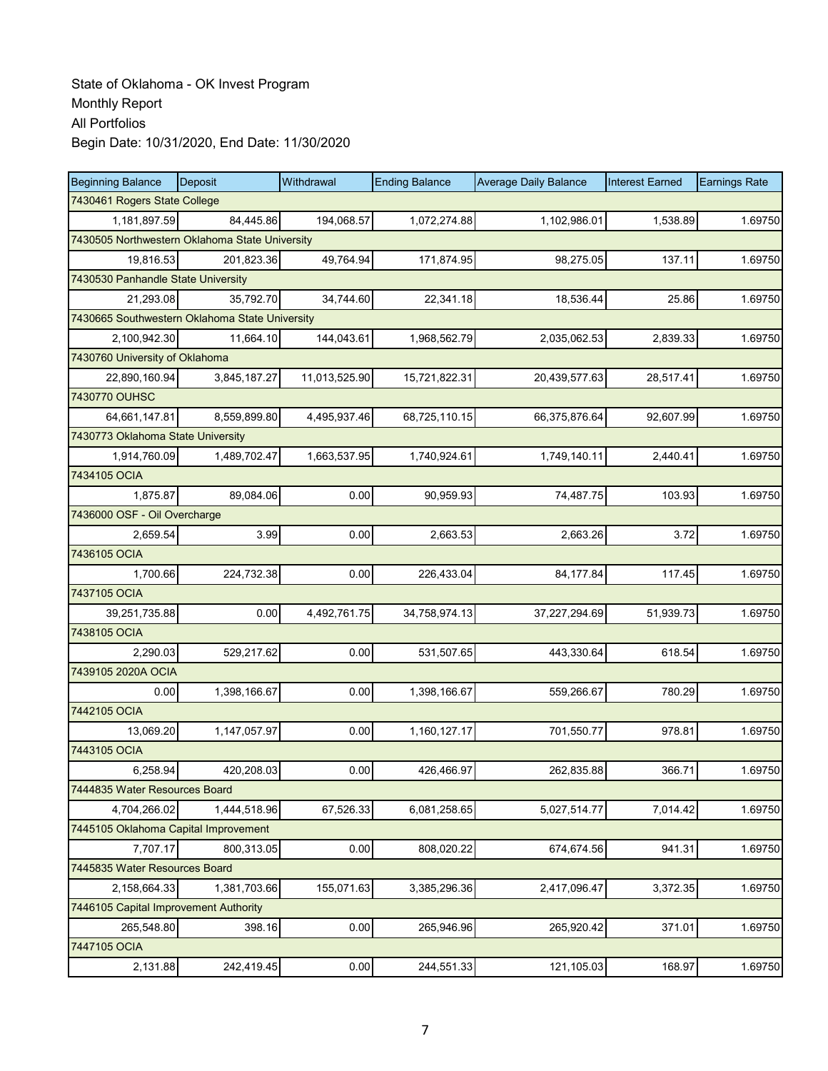| <b>Beginning Balance</b>                       | Deposit      | Withdrawal    | <b>Ending Balance</b> | <b>Average Daily Balance</b> | <b>Interest Earned</b> | <b>Earnings Rate</b> |  |  |
|------------------------------------------------|--------------|---------------|-----------------------|------------------------------|------------------------|----------------------|--|--|
| 7430461 Rogers State College                   |              |               |                       |                              |                        |                      |  |  |
| 1,181,897.59                                   | 84,445.86    | 194,068.57    | 1,072,274.88          | 1,102,986.01                 | 1,538.89               | 1.69750              |  |  |
| 7430505 Northwestern Oklahoma State University |              |               |                       |                              |                        |                      |  |  |
| 19,816.53                                      | 201,823.36   | 49,764.94     | 171,874.95            | 98,275.05                    | 137.11                 | 1.69750              |  |  |
| 7430530 Panhandle State University             |              |               |                       |                              |                        |                      |  |  |
| 21,293.08                                      | 35,792.70    | 34,744.60     | 22,341.18             | 18,536.44                    | 25.86                  | 1.69750              |  |  |
| 7430665 Southwestern Oklahoma State University |              |               |                       |                              |                        |                      |  |  |
| 2,100,942.30                                   | 11,664.10    | 144,043.61    | 1,968,562.79          | 2,035,062.53                 | 2,839.33               | 1.69750              |  |  |
| 7430760 University of Oklahoma                 |              |               |                       |                              |                        |                      |  |  |
| 22,890,160.94                                  | 3,845,187.27 | 11,013,525.90 | 15,721,822.31         | 20,439,577.63                | 28,517.41              | 1.69750              |  |  |
| 7430770 OUHSC                                  |              |               |                       |                              |                        |                      |  |  |
| 64,661,147.81                                  | 8,559,899.80 | 4,495,937.46  | 68,725,110.15         | 66,375,876.64                | 92,607.99              | 1.69750              |  |  |
| 7430773 Oklahoma State University              |              |               |                       |                              |                        |                      |  |  |
| 1,914,760.09                                   | 1,489,702.47 | 1,663,537.95  | 1,740,924.61          | 1,749,140.11                 | 2,440.41               | 1.69750              |  |  |
| 7434105 OCIA                                   |              |               |                       |                              |                        |                      |  |  |
| 1,875.87                                       | 89,084.06    | 0.00          | 90,959.93             | 74,487.75                    | 103.93                 | 1.69750              |  |  |
| 7436000 OSF - Oil Overcharge                   |              |               |                       |                              |                        |                      |  |  |
| 2,659.54                                       | 3.99         | 0.00          | 2,663.53              | 2,663.26                     | 3.72                   | 1.69750              |  |  |
| 7436105 OCIA                                   |              |               |                       |                              |                        |                      |  |  |
| 1,700.66                                       | 224,732.38   | 0.00          | 226,433.04            | 84,177.84                    | 117.45                 | 1.69750              |  |  |
| 7437105 OCIA                                   |              |               |                       |                              |                        |                      |  |  |
| 39,251,735.88                                  | 0.00         | 4,492,761.75  | 34,758,974.13         | 37,227,294.69                | 51,939.73              | 1.69750              |  |  |
| 7438105 OCIA                                   |              |               |                       |                              |                        |                      |  |  |
| 2,290.03                                       | 529,217.62   | 0.00          | 531,507.65            | 443,330.64                   | 618.54                 | 1.69750              |  |  |
| 7439105 2020A OCIA                             |              |               |                       |                              |                        |                      |  |  |
| 0.00                                           | 1,398,166.67 | 0.00          | 1,398,166.67          | 559,266.67                   | 780.29                 | 1.69750              |  |  |
| 7442105 OCIA                                   |              |               |                       |                              |                        |                      |  |  |
| 13,069.20                                      | 1,147,057.97 | 0.00          | 1,160,127.17          | 701,550.77                   | 978.81                 | 1.69750              |  |  |
| 7443105 OCIA                                   |              |               |                       |                              |                        |                      |  |  |
| 6.258.94                                       | 420,208.03   | 0.00          | 426,466.97            | 262,835.88                   | 366.71                 | 1.69750              |  |  |
| 7444835 Water Resources Board                  |              |               |                       |                              |                        |                      |  |  |
| 4,704,266.02                                   | 1,444,518.96 | 67,526.33     | 6,081,258.65          | 5,027,514.77                 | 7,014.42               | 1.69750              |  |  |
| 7445105 Oklahoma Capital Improvement           |              |               |                       |                              |                        |                      |  |  |
| 7,707.17                                       | 800,313.05   | 0.00          | 808,020.22            | 674,674.56                   | 941.31                 | 1.69750              |  |  |
| 7445835 Water Resources Board                  |              |               |                       |                              |                        |                      |  |  |
| 2,158,664.33                                   | 1,381,703.66 | 155,071.63    | 3,385,296.36          | 2,417,096.47                 | 3,372.35               | 1.69750              |  |  |
| 7446105 Capital Improvement Authority          |              |               |                       |                              |                        |                      |  |  |
| 265,548.80                                     | 398.16       | 0.00          | 265,946.96            | 265,920.42                   | 371.01                 | 1.69750              |  |  |
| 7447105 OCIA                                   |              |               |                       |                              |                        |                      |  |  |
| 2,131.88                                       | 242,419.45   | 0.00          | 244,551.33            | 121,105.03                   | 168.97                 | 1.69750              |  |  |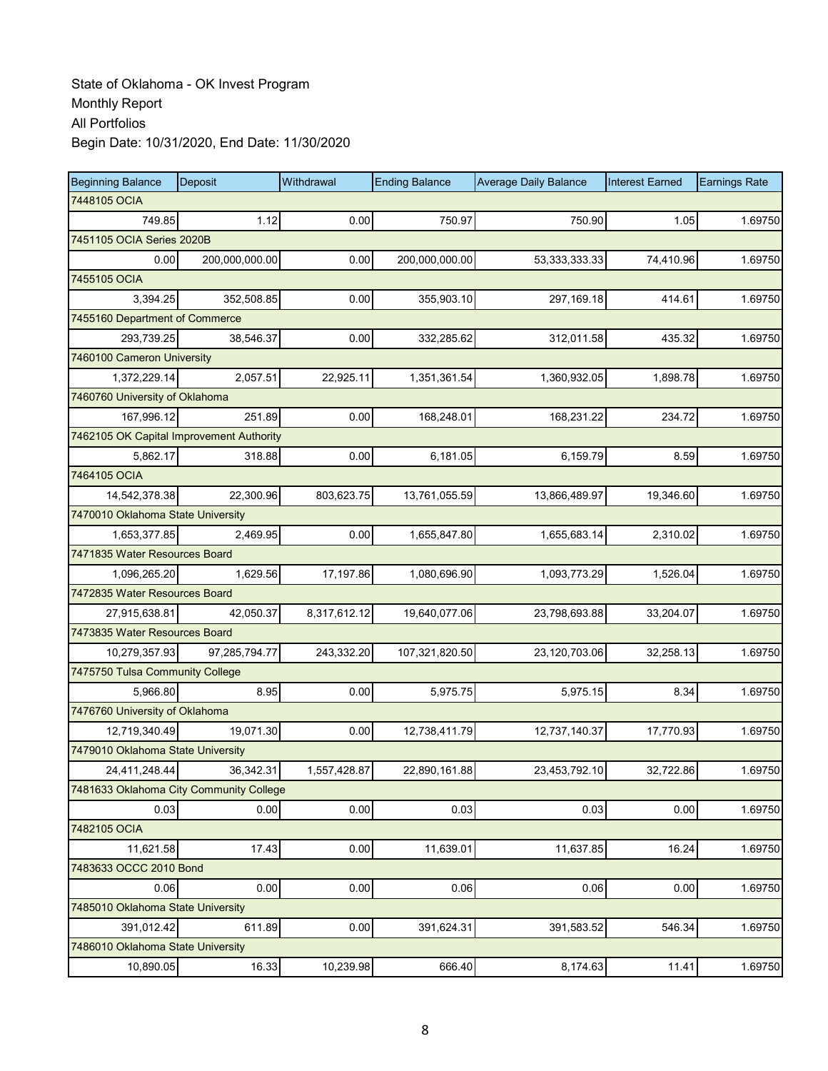| <b>Beginning Balance</b>                 | Deposit        | Withdrawal   | <b>Ending Balance</b> | <b>Average Daily Balance</b> | <b>Interest Earned</b> | <b>Earnings Rate</b> |
|------------------------------------------|----------------|--------------|-----------------------|------------------------------|------------------------|----------------------|
| 7448105 OCIA                             |                |              |                       |                              |                        |                      |
| 749.85                                   | 1.12           | 0.00         | 750.97                | 750.90                       | 1.05                   | 1.69750              |
| 7451105 OCIA Series 2020B                |                |              |                       |                              |                        |                      |
| 0.00                                     | 200,000,000.00 | 0.00         | 200,000,000.00        | 53, 333, 333. 33             | 74,410.96              | 1.69750              |
| 7455105 OCIA                             |                |              |                       |                              |                        |                      |
| 3,394.25                                 | 352,508.85     | 0.00         | 355,903.10            | 297, 169. 18                 | 414.61                 | 1.69750              |
| 7455160 Department of Commerce           |                |              |                       |                              |                        |                      |
| 293,739.25                               | 38,546.37      | 0.00         | 332,285.62            | 312,011.58                   | 435.32                 | 1.69750              |
| 7460100 Cameron University               |                |              |                       |                              |                        |                      |
| 1,372,229.14                             | 2,057.51       | 22,925.11    | 1,351,361.54          | 1,360,932.05                 | 1,898.78               | 1.69750              |
| 7460760 University of Oklahoma           |                |              |                       |                              |                        |                      |
| 167,996.12                               | 251.89         | 0.00         | 168,248.01            | 168,231.22                   | 234.72                 | 1.69750              |
| 7462105 OK Capital Improvement Authority |                |              |                       |                              |                        |                      |
| 5.862.17                                 | 318.88         | 0.00         | 6,181.05              | 6,159.79                     | 8.59                   | 1.69750              |
| 7464105 OCIA                             |                |              |                       |                              |                        |                      |
| 14,542,378.38                            | 22,300.96      | 803,623.75   | 13,761,055.59         | 13,866,489.97                | 19,346.60              | 1.69750              |
| 7470010 Oklahoma State University        |                |              |                       |                              |                        |                      |
| 1,653,377.85                             | 2,469.95       | 0.00         | 1,655,847.80          | 1,655,683.14                 | 2,310.02               | 1.69750              |
| 7471835 Water Resources Board            |                |              |                       |                              |                        |                      |
| 1,096,265.20                             | 1,629.56       | 17,197.86    | 1,080,696.90          | 1,093,773.29                 | 1,526.04               | 1.69750              |
| 7472835 Water Resources Board            |                |              |                       |                              |                        |                      |
| 27,915,638.81                            | 42,050.37      | 8,317,612.12 | 19,640,077.06         | 23,798,693.88                | 33,204.07              | 1.69750              |
| 7473835 Water Resources Board            |                |              |                       |                              |                        |                      |
| 10,279,357.93                            | 97,285,794.77  | 243,332.20   | 107,321,820.50        | 23,120,703.06                | 32,258.13              | 1.69750              |
| 7475750 Tulsa Community College          |                |              |                       |                              |                        |                      |
| 5,966.80                                 | 8.95           | 0.00         | 5,975.75              | 5,975.15                     | 8.34                   | 1.69750              |
| 7476760 University of Oklahoma           |                |              |                       |                              |                        |                      |
| 12,719,340.49                            | 19,071.30      | 0.00         | 12,738,411.79         | 12,737,140.37                | 17,770.93              | 1.69750              |
| 7479010 Oklahoma State University        |                |              |                       |                              |                        |                      |
| 24,411,248.44                            | 36,342.31      | 1,557,428.87 | 22,890,161.88         | 23,453,792.10                | 32,722.86              | 1.69750              |
| 7481633 Oklahoma City Community College  |                |              |                       |                              |                        |                      |
| 0.03                                     | 0.00           | 0.00         | 0.03                  | 0.03                         | 0.00                   | 1.69750              |
| 7482105 OCIA                             |                |              |                       |                              |                        |                      |
| 11,621.58                                | 17.43          | 0.00         | 11,639.01             | 11,637.85                    | 16.24                  | 1.69750              |
| 7483633 OCCC 2010 Bond                   |                |              |                       |                              |                        |                      |
| 0.06                                     | 0.00           | 0.00         | 0.06                  | 0.06                         | 0.00                   | 1.69750              |
| 7485010 Oklahoma State University        |                |              |                       |                              |                        |                      |
| 391,012.42                               | 611.89         | 0.00         | 391,624.31            | 391,583.52                   | 546.34                 | 1.69750              |
| 7486010 Oklahoma State University        |                |              |                       |                              |                        |                      |
| 10,890.05                                | 16.33          | 10,239.98    | 666.40                | 8,174.63                     | 11.41                  | 1.69750              |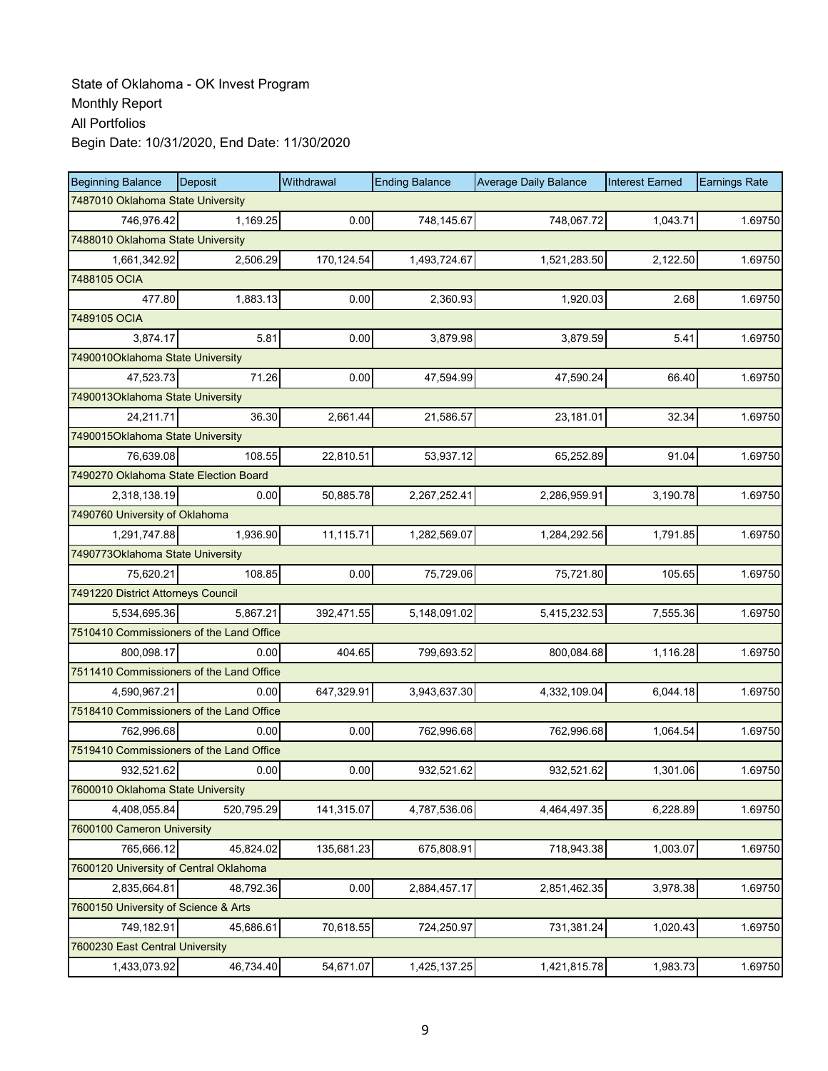| <b>Beginning Balance</b>                 | Deposit                           | Withdrawal | <b>Ending Balance</b> | <b>Average Daily Balance</b> | <b>Interest Earned</b> | <b>Earnings Rate</b> |  |  |  |  |
|------------------------------------------|-----------------------------------|------------|-----------------------|------------------------------|------------------------|----------------------|--|--|--|--|
|                                          | 7487010 Oklahoma State University |            |                       |                              |                        |                      |  |  |  |  |
| 746,976.42                               | 1,169.25                          | 0.00       | 748,145.67            | 748,067.72                   | 1,043.71               | 1.69750              |  |  |  |  |
| 7488010 Oklahoma State University        |                                   |            |                       |                              |                        |                      |  |  |  |  |
| 1,661,342.92                             | 2,506.29                          | 170,124.54 | 1,493,724.67          | 1,521,283.50                 | 2,122.50               | 1.69750              |  |  |  |  |
| 7488105 OCIA                             |                                   |            |                       |                              |                        |                      |  |  |  |  |
| 477.80                                   | 1,883.13                          | 0.00       | 2,360.93              | 1,920.03                     | 2.68                   | 1.69750              |  |  |  |  |
| 7489105 OCIA                             |                                   |            |                       |                              |                        |                      |  |  |  |  |
| 3,874.17                                 | 5.81                              | 0.00       | 3,879.98              | 3,879.59                     | 5.41                   | 1.69750              |  |  |  |  |
| 7490010Oklahoma State University         |                                   |            |                       |                              |                        |                      |  |  |  |  |
| 47,523.73                                | 71.26                             | 0.00       | 47,594.99             | 47,590.24                    | 66.40                  | 1.69750              |  |  |  |  |
| 7490013Oklahoma State University         |                                   |            |                       |                              |                        |                      |  |  |  |  |
| 24,211.71                                | 36.30                             | 2,661.44   | 21,586.57             | 23,181.01                    | 32.34                  | 1.69750              |  |  |  |  |
| 7490015Oklahoma State University         |                                   |            |                       |                              |                        |                      |  |  |  |  |
| 76.639.08                                | 108.55                            | 22,810.51  | 53,937.12             | 65,252.89                    | 91.04                  | 1.69750              |  |  |  |  |
| 7490270 Oklahoma State Election Board    |                                   |            |                       |                              |                        |                      |  |  |  |  |
| 2,318,138.19                             | 0.00                              | 50,885.78  | 2,267,252.41          | 2,286,959.91                 | 3,190.78               | 1.69750              |  |  |  |  |
| 7490760 University of Oklahoma           |                                   |            |                       |                              |                        |                      |  |  |  |  |
| 1,291,747.88                             | 1,936.90                          | 11,115.71  | 1.282.569.07          | 1,284,292.56                 | 1,791.85               | 1.69750              |  |  |  |  |
| 7490773Oklahoma State University         |                                   |            |                       |                              |                        |                      |  |  |  |  |
| 75.620.21                                | 108.85                            | 0.00       | 75,729.06             | 75,721.80                    | 105.65                 | 1.69750              |  |  |  |  |
| 7491220 District Attorneys Council       |                                   |            |                       |                              |                        |                      |  |  |  |  |
| 5,534,695.36                             | 5,867.21                          | 392,471.55 | 5,148,091.02          | 5,415,232.53                 | 7,555.36               | 1.69750              |  |  |  |  |
| 7510410 Commissioners of the Land Office |                                   |            |                       |                              |                        |                      |  |  |  |  |
| 800,098.17                               | 0.00                              | 404.65     | 799,693.52            | 800,084.68                   | 1,116.28               | 1.69750              |  |  |  |  |
| 7511410 Commissioners of the Land Office |                                   |            |                       |                              |                        |                      |  |  |  |  |
| 4,590,967.21                             | 0.00                              | 647,329.91 | 3,943,637.30          | 4,332,109.04                 | 6,044.18               | 1.69750              |  |  |  |  |
| 7518410 Commissioners of the Land Office |                                   |            |                       |                              |                        |                      |  |  |  |  |
| 762,996.68                               | 0.00                              | 0.00       | 762,996.68            | 762,996.68                   | 1,064.54               | 1.69750              |  |  |  |  |
| 7519410 Commissioners of the Land Office |                                   |            |                       |                              |                        |                      |  |  |  |  |
| 932,521.62                               | 0.00                              | 0.00       | 932,521.62            | 932,521.62                   | 1,301.06               | 1.69750              |  |  |  |  |
| 7600010 Oklahoma State University        |                                   |            |                       |                              |                        |                      |  |  |  |  |
| 4,408,055.84                             | 520,795.29                        | 141,315.07 | 4,787,536.06          | 4,464,497.35                 | 6,228.89               | 1.69750              |  |  |  |  |
| 7600100 Cameron University               |                                   |            |                       |                              |                        |                      |  |  |  |  |
| 765,666.12                               | 45,824.02                         | 135,681.23 | 675,808.91            | 718,943.38                   | 1,003.07               | 1.69750              |  |  |  |  |
| 7600120 University of Central Oklahoma   |                                   |            |                       |                              |                        |                      |  |  |  |  |
| 2,835,664.81                             | 48,792.36                         | 0.00       | 2,884,457.17          | 2,851,462.35                 | 3,978.38               | 1.69750              |  |  |  |  |
| 7600150 University of Science & Arts     |                                   |            |                       |                              |                        |                      |  |  |  |  |
| 749,182.91                               | 45,686.61                         | 70,618.55  | 724,250.97            | 731,381.24                   | 1,020.43               | 1.69750              |  |  |  |  |
| 7600230 East Central University          |                                   |            |                       |                              |                        |                      |  |  |  |  |
| 1,433,073.92                             | 46,734.40                         | 54,671.07  | 1,425,137.25          | 1,421,815.78                 | 1,983.73               | 1.69750              |  |  |  |  |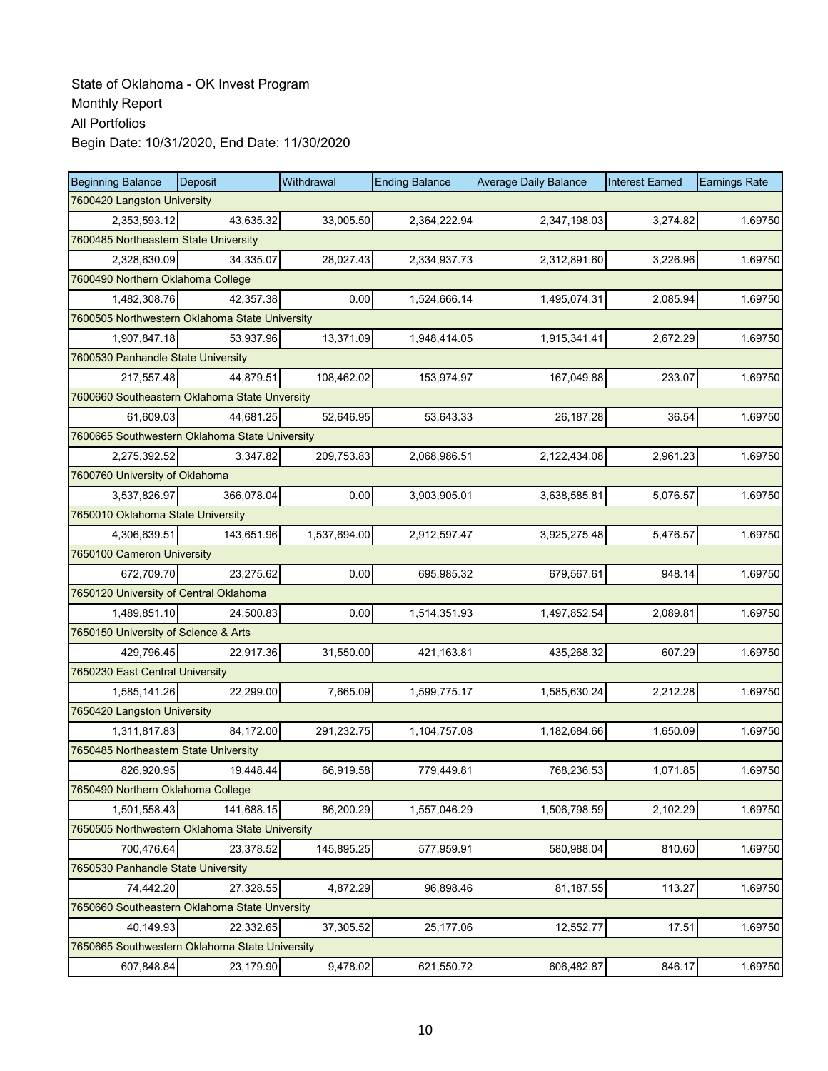| <b>Beginning Balance</b>                       | <b>Deposit</b> | Withdrawal   | <b>Ending Balance</b> | <b>Average Daily Balance</b> | <b>Interest Earned</b> | <b>Earnings Rate</b> |  |  |
|------------------------------------------------|----------------|--------------|-----------------------|------------------------------|------------------------|----------------------|--|--|
| 7600420 Langston University                    |                |              |                       |                              |                        |                      |  |  |
| 2,353,593.12                                   | 43,635.32      | 33.005.50    | 2,364,222.94          | 2,347,198.03                 | 3,274.82               | 1.69750              |  |  |
| 7600485 Northeastern State University          |                |              |                       |                              |                        |                      |  |  |
| 2,328,630.09                                   | 34.335.07      | 28,027.43    | 2,334,937.73          | 2,312,891.60                 | 3,226.96               | 1.69750              |  |  |
| 7600490 Northern Oklahoma College              |                |              |                       |                              |                        |                      |  |  |
| 1,482,308.76                                   | 42,357.38      | 0.00         | 1,524,666.14          | 1,495,074.31                 | 2,085.94               | 1.69750              |  |  |
| 7600505 Northwestern Oklahoma State University |                |              |                       |                              |                        |                      |  |  |
| 1,907,847.18                                   | 53,937.96      | 13,371.09    | 1,948,414.05          | 1,915,341.41                 | 2,672.29               | 1.69750              |  |  |
| 7600530 Panhandle State University             |                |              |                       |                              |                        |                      |  |  |
| 217,557.48                                     | 44,879.51      | 108,462.02   | 153,974.97            | 167,049.88                   | 233.07                 | 1.69750              |  |  |
| 7600660 Southeastern Oklahoma State Unversity  |                |              |                       |                              |                        |                      |  |  |
| 61,609.03                                      | 44,681.25      | 52,646.95    | 53,643.33             | 26, 187. 28                  | 36.54                  | 1.69750              |  |  |
| 7600665 Southwestern Oklahoma State University |                |              |                       |                              |                        |                      |  |  |
| 2.275.392.52                                   | 3,347.82       | 209,753.83   | 2,068,986.51          | 2,122,434.08                 | 2,961.23               | 1.69750              |  |  |
| 7600760 University of Oklahoma                 |                |              |                       |                              |                        |                      |  |  |
| 3,537,826.97                                   | 366,078.04     | 0.00         | 3,903,905.01          | 3,638,585.81                 | 5,076.57               | 1.69750              |  |  |
| 7650010 Oklahoma State University              |                |              |                       |                              |                        |                      |  |  |
| 4,306,639.51                                   | 143,651.96     | 1,537,694.00 | 2,912,597.47          | 3,925,275.48                 | 5,476.57               | 1.69750              |  |  |
| 7650100 Cameron University                     |                |              |                       |                              |                        |                      |  |  |
| 672,709.70                                     | 23,275.62      | 0.00         | 695,985.32            | 679,567.61                   | 948.14                 | 1.69750              |  |  |
| 7650120 University of Central Oklahoma         |                |              |                       |                              |                        |                      |  |  |
| 1,489,851.10                                   | 24,500.83      | 0.00         | 1,514,351.93          | 1,497,852.54                 | 2,089.81               | 1.69750              |  |  |
| 7650150 University of Science & Arts           |                |              |                       |                              |                        |                      |  |  |
| 429,796.45                                     | 22,917.36      | 31,550.00    | 421,163.81            | 435,268.32                   | 607.29                 | 1.69750              |  |  |
| 7650230 East Central University                |                |              |                       |                              |                        |                      |  |  |
| 1,585,141.26                                   | 22,299.00      | 7,665.09     | 1,599,775.17          | 1,585,630.24                 | 2,212.28               | 1.69750              |  |  |
| 7650420 Langston University                    |                |              |                       |                              |                        |                      |  |  |
| 1,311,817.83                                   | 84,172.00      | 291,232.75   | 1,104,757.08          | 1,182,684.66                 | 1,650.09               | 1.69750              |  |  |
| 7650485 Northeastern State University          |                |              |                       |                              |                        |                      |  |  |
| 826,920.95                                     | 19,448.44      | 66,919.58    | 779,449.81            | 768,236.53                   | 1,071.85               | 1.69750              |  |  |
| 7650490 Northern Oklahoma College              |                |              |                       |                              |                        |                      |  |  |
| 1,501,558.43                                   | 141,688.15     | 86,200.29    | 1,557,046.29          | 1,506,798.59                 | 2,102.29               | 1.69750              |  |  |
| 7650505 Northwestern Oklahoma State University |                |              |                       |                              |                        |                      |  |  |
| 700,476.64                                     | 23,378.52      | 145,895.25   | 577,959.91            | 580,988.04                   | 810.60                 | 1.69750              |  |  |
| 7650530 Panhandle State University             |                |              |                       |                              |                        |                      |  |  |
| 74,442.20                                      | 27,328.55      | 4,872.29     | 96,898.46             | 81,187.55                    | 113.27                 | 1.69750              |  |  |
| 7650660 Southeastern Oklahoma State Unversity  |                |              |                       |                              |                        |                      |  |  |
| 40,149.93                                      | 22,332.65      | 37,305.52    | 25,177.06             | 12,552.77                    | 17.51                  | 1.69750              |  |  |
| 7650665 Southwestern Oklahoma State University |                |              |                       |                              |                        |                      |  |  |
| 607,848.84                                     | 23,179.90      | 9,478.02     | 621,550.72            | 606,482.87                   | 846.17                 | 1.69750              |  |  |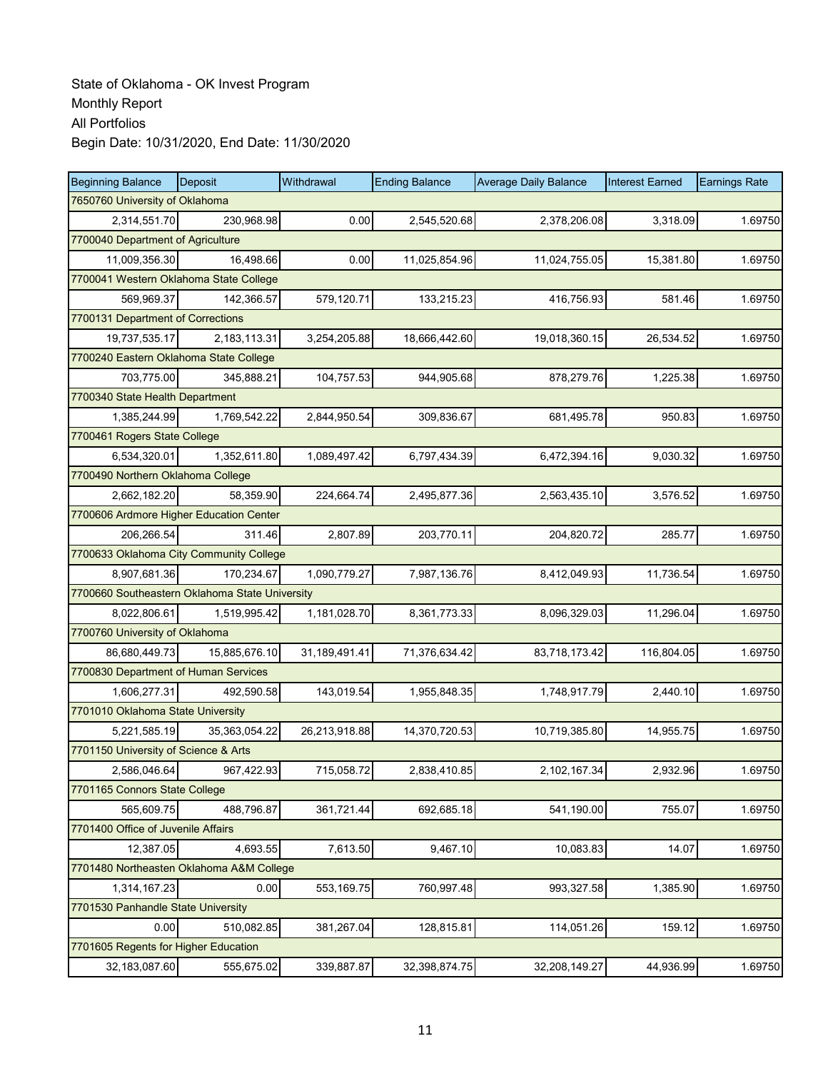| <b>Beginning Balance</b>             | Deposit                                        | Withdrawal    | <b>Ending Balance</b> | <b>Average Daily Balance</b> | <b>Interest Earned</b> | <b>Earnings Rate</b> |
|--------------------------------------|------------------------------------------------|---------------|-----------------------|------------------------------|------------------------|----------------------|
| 7650760 University of Oklahoma       |                                                |               |                       |                              |                        |                      |
| 2,314,551.70                         | 230,968.98                                     | 0.00          | 2,545,520.68          | 2,378,206.08                 | 3,318.09               | 1.69750              |
| 7700040 Department of Agriculture    |                                                |               |                       |                              |                        |                      |
| 11,009,356.30                        | 16,498.66                                      | 0.00          | 11,025,854.96         | 11,024,755.05                | 15,381.80              | 1.69750              |
|                                      | 7700041 Western Oklahoma State College         |               |                       |                              |                        |                      |
| 569,969.37                           | 142,366.57                                     | 579,120.71    | 133,215.23            | 416,756.93                   | 581.46                 | 1.69750              |
| 7700131 Department of Corrections    |                                                |               |                       |                              |                        |                      |
| 19,737,535.17                        | 2,183,113.31                                   | 3,254,205.88  | 18,666,442.60         | 19,018,360.15                | 26,534.52              | 1.69750              |
|                                      | 7700240 Eastern Oklahoma State College         |               |                       |                              |                        |                      |
| 703,775.00                           | 345,888.21                                     | 104,757.53    | 944,905.68            | 878,279.76                   | 1,225.38               | 1.69750              |
| 7700340 State Health Department      |                                                |               |                       |                              |                        |                      |
| 1,385,244.99                         | 1,769,542.22                                   | 2,844,950.54  | 309,836.67            | 681,495.78                   | 950.83                 | 1.69750              |
| 7700461 Rogers State College         |                                                |               |                       |                              |                        |                      |
| 6,534,320.01                         | 1,352,611.80                                   | 1,089,497.42  | 6,797,434.39          | 6,472,394.16                 | 9,030.32               | 1.69750              |
| 7700490 Northern Oklahoma College    |                                                |               |                       |                              |                        |                      |
| 2,662,182.20                         | 58,359.90                                      | 224,664.74    | 2,495,877.36          | 2,563,435.10                 | 3,576.52               | 1.69750              |
|                                      | 7700606 Ardmore Higher Education Center        |               |                       |                              |                        |                      |
| 206,266.54                           | 311.46                                         | 2,807.89      | 203,770.11            | 204,820.72                   | 285.77                 | 1.69750              |
|                                      | 7700633 Oklahoma City Community College        |               |                       |                              |                        |                      |
| 8,907,681.36                         | 170,234.67                                     | 1,090,779.27  | 7,987,136.76          | 8,412,049.93                 | 11,736.54              | 1.69750              |
|                                      | 7700660 Southeastern Oklahoma State University |               |                       |                              |                        |                      |
| 8,022,806.61                         | 1,519,995.42                                   | 1,181,028.70  | 8,361,773.33          | 8,096,329.03                 | 11,296.04              | 1.69750              |
| 7700760 University of Oklahoma       |                                                |               |                       |                              |                        |                      |
| 86,680,449.73                        | 15,885,676.10                                  | 31,189,491.41 | 71,376,634.42         | 83,718,173.42                | 116,804.05             | 1.69750              |
| 7700830 Department of Human Services |                                                |               |                       |                              |                        |                      |
| 1,606,277.31                         | 492,590.58                                     | 143,019.54    | 1,955,848.35          | 1,748,917.79                 | 2,440.10               | 1.69750              |
| 7701010 Oklahoma State University    |                                                |               |                       |                              |                        |                      |
| 5,221,585.19                         | 35.363.054.22                                  | 26,213,918.88 | 14,370,720.53         | 10,719,385.80                | 14,955.75              | 1.69750              |
| 7701150 University of Science & Arts |                                                |               |                       |                              |                        |                      |
| 2,586,046.64                         | 967,422.93                                     | 715,058.72    | 2,838,410.85          | 2,102,167.34                 | 2,932.96               | 1.69750              |
| 7701165 Connors State College        |                                                |               |                       |                              |                        |                      |
| 565,609.75                           | 488,796.87                                     | 361,721.44    | 692,685.18            | 541,190.00                   | 755.07                 | 1.69750              |
| 7701400 Office of Juvenile Affairs   |                                                |               |                       |                              |                        |                      |
| 12,387.05                            | 4,693.55                                       | 7,613.50      | 9,467.10              | 10,083.83                    | 14.07                  | 1.69750              |
|                                      | 7701480 Northeasten Oklahoma A&M College       |               |                       |                              |                        |                      |
| 1,314,167.23                         | 0.00                                           | 553,169.75    | 760,997.48            | 993,327.58                   | 1,385.90               | 1.69750              |
| 7701530 Panhandle State University   |                                                |               |                       |                              |                        |                      |
| 0.00                                 | 510,082.85                                     | 381,267.04    | 128,815.81            | 114,051.26                   | 159.12                 | 1.69750              |
| 7701605 Regents for Higher Education |                                                |               |                       |                              |                        |                      |
| 32,183,087.60                        | 555,675.02                                     | 339,887.87    | 32,398,874.75         | 32,208,149.27                | 44,936.99              | 1.69750              |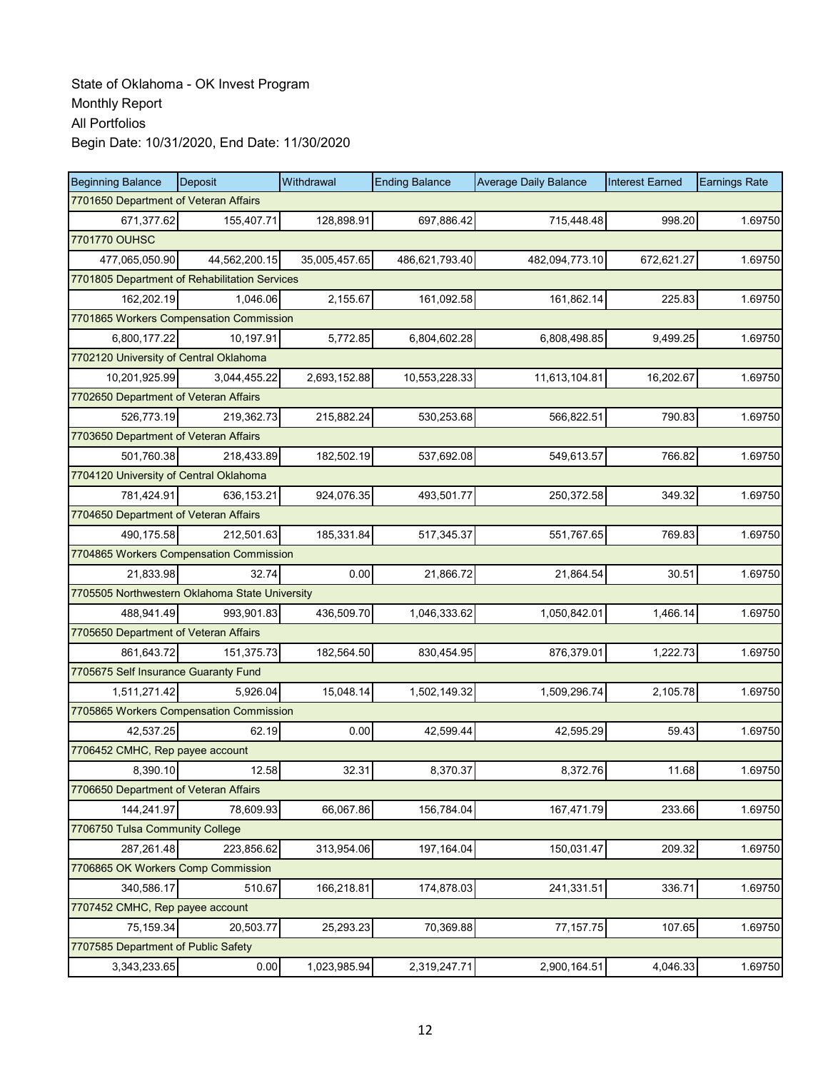| <b>Beginning Balance</b>                       | Deposit                               | Withdrawal    | <b>Ending Balance</b> | <b>Average Daily Balance</b> | <b>Interest Earned</b> | <b>Earnings Rate</b> |  |  |  |  |
|------------------------------------------------|---------------------------------------|---------------|-----------------------|------------------------------|------------------------|----------------------|--|--|--|--|
|                                                | 7701650 Department of Veteran Affairs |               |                       |                              |                        |                      |  |  |  |  |
| 671,377.62                                     | 155,407.71                            | 128,898.91    | 697,886.42            | 715,448.48                   | 998.20                 | 1.69750              |  |  |  |  |
| 7701770 OUHSC                                  |                                       |               |                       |                              |                        |                      |  |  |  |  |
| 477,065,050.90                                 | 44,562,200.15                         | 35,005,457.65 | 486,621,793.40        | 482,094,773.10               | 672,621.27             | 1.69750              |  |  |  |  |
| 7701805 Department of Rehabilitation Services  |                                       |               |                       |                              |                        |                      |  |  |  |  |
| 162,202.19                                     | 1,046.06                              | 2,155.67      | 161,092.58            | 161,862.14                   | 225.83                 | 1.69750              |  |  |  |  |
| 7701865 Workers Compensation Commission        |                                       |               |                       |                              |                        |                      |  |  |  |  |
| 6,800,177.22                                   | 10,197.91                             | 5,772.85      | 6,804,602.28          | 6,808,498.85                 | 9,499.25               | 1.69750              |  |  |  |  |
| 7702120 University of Central Oklahoma         |                                       |               |                       |                              |                        |                      |  |  |  |  |
| 10,201,925.99                                  | 3,044,455.22                          | 2,693,152.88  | 10,553,228.33         | 11,613,104.81                | 16,202.67              | 1.69750              |  |  |  |  |
| 7702650 Department of Veteran Affairs          |                                       |               |                       |                              |                        |                      |  |  |  |  |
| 526,773.19                                     | 219,362.73                            | 215,882.24    | 530,253.68            | 566,822.51                   | 790.83                 | 1.69750              |  |  |  |  |
| 7703650 Department of Veteran Affairs          |                                       |               |                       |                              |                        |                      |  |  |  |  |
| 501,760.38                                     | 218.433.89                            | 182,502.19    | 537,692.08            | 549,613.57                   | 766.82                 | 1.69750              |  |  |  |  |
| 7704120 University of Central Oklahoma         |                                       |               |                       |                              |                        |                      |  |  |  |  |
| 781,424.91                                     | 636,153.21                            | 924,076.35    | 493,501.77            | 250,372.58                   | 349.32                 | 1.69750              |  |  |  |  |
| 7704650 Department of Veteran Affairs          |                                       |               |                       |                              |                        |                      |  |  |  |  |
| 490,175.58                                     | 212,501.63                            | 185,331.84    | 517,345.37            | 551,767.65                   | 769.83                 | 1.69750              |  |  |  |  |
| 7704865 Workers Compensation Commission        |                                       |               |                       |                              |                        |                      |  |  |  |  |
| 21,833.98                                      | 32.74                                 | 0.00          | 21,866.72             | 21,864.54                    | 30.51                  | 1.69750              |  |  |  |  |
| 7705505 Northwestern Oklahoma State University |                                       |               |                       |                              |                        |                      |  |  |  |  |
| 488,941.49                                     | 993,901.83                            | 436,509.70    | 1,046,333.62          | 1,050,842.01                 | 1,466.14               | 1.69750              |  |  |  |  |
| 7705650 Department of Veteran Affairs          |                                       |               |                       |                              |                        |                      |  |  |  |  |
| 861,643.72                                     | 151,375.73                            | 182,564.50    | 830,454.95            | 876,379.01                   | 1,222.73               | 1.69750              |  |  |  |  |
| 7705675 Self Insurance Guaranty Fund           |                                       |               |                       |                              |                        |                      |  |  |  |  |
| 1,511,271.42                                   | 5,926.04                              | 15,048.14     | 1,502,149.32          | 1,509,296.74                 | 2,105.78               | 1.69750              |  |  |  |  |
| 7705865 Workers Compensation Commission        |                                       |               |                       |                              |                        |                      |  |  |  |  |
| 42,537.25                                      | 62.19                                 | 0.00          | 42,599.44             | 42,595.29                    | 59.43                  | 1.69750              |  |  |  |  |
| 7706452 CMHC, Rep payee account                |                                       |               |                       |                              |                        |                      |  |  |  |  |
| 8,390.10                                       | 12.58                                 | 32.31         | 8,370.37              | 8,372.76                     | 11.68                  | 1.69750              |  |  |  |  |
| 7706650 Department of Veteran Affairs          |                                       |               |                       |                              |                        |                      |  |  |  |  |
| 144,241.97                                     | 78,609.93                             | 66,067.86     | 156,784.04            | 167,471.79                   | 233.66                 | 1.69750              |  |  |  |  |
| 7706750 Tulsa Community College                |                                       |               |                       |                              |                        |                      |  |  |  |  |
| 287,261.48                                     | 223,856.62                            | 313,954.06    | 197,164.04            | 150,031.47                   | 209.32                 | 1.69750              |  |  |  |  |
| 7706865 OK Workers Comp Commission             |                                       |               |                       |                              |                        |                      |  |  |  |  |
| 340,586.17                                     | 510.67                                | 166,218.81    | 174,878.03            | 241,331.51                   | 336.71                 | 1.69750              |  |  |  |  |
| 7707452 CMHC, Rep payee account                |                                       |               |                       |                              |                        |                      |  |  |  |  |
| 75,159.34                                      | 20,503.77                             | 25,293.23     | 70,369.88             | 77, 157.75                   | 107.65                 | 1.69750              |  |  |  |  |
| 7707585 Department of Public Safety            |                                       |               |                       |                              |                        |                      |  |  |  |  |
| 3,343,233.65                                   | 0.00                                  | 1,023,985.94  | 2,319,247.71          | 2,900,164.51                 | 4,046.33               | 1.69750              |  |  |  |  |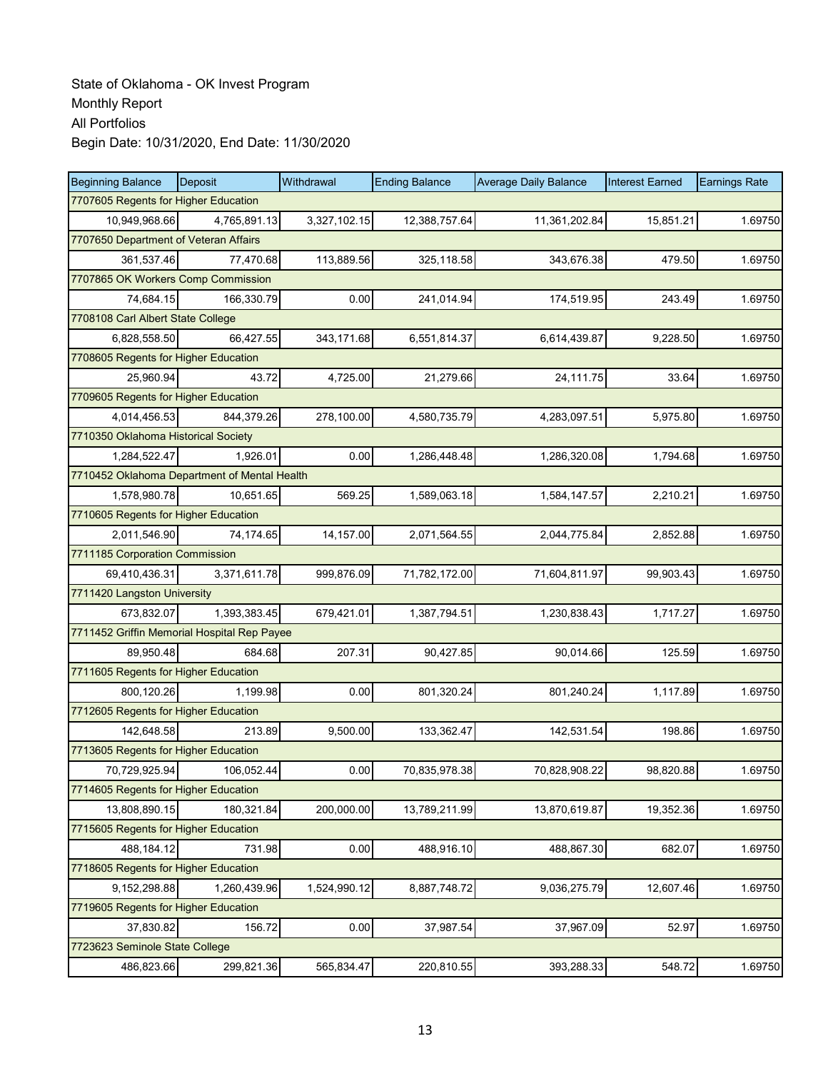| <b>Beginning Balance</b>                     | Deposit                            | Withdrawal   | <b>Ending Balance</b> | <b>Average Daily Balance</b> | <b>Interest Earned</b> | <b>Earnings Rate</b> |  |  |  |
|----------------------------------------------|------------------------------------|--------------|-----------------------|------------------------------|------------------------|----------------------|--|--|--|
| 7707605 Regents for Higher Education         |                                    |              |                       |                              |                        |                      |  |  |  |
| 10,949,968.66                                | 4,765,891.13                       | 3,327,102.15 | 12,388,757.64         | 11,361,202.84                | 15,851.21              | 1.69750              |  |  |  |
| 7707650 Department of Veteran Affairs        |                                    |              |                       |                              |                        |                      |  |  |  |
| 361,537.46                                   | 77,470.68                          | 113,889.56   | 325,118.58            | 343,676.38                   | 479.50                 | 1.69750              |  |  |  |
|                                              | 7707865 OK Workers Comp Commission |              |                       |                              |                        |                      |  |  |  |
| 74,684.15                                    | 166,330.79                         | 0.00         | 241,014.94            | 174,519.95                   | 243.49                 | 1.69750              |  |  |  |
| 7708108 Carl Albert State College            |                                    |              |                       |                              |                        |                      |  |  |  |
| 6,828,558.50                                 | 66,427.55                          | 343,171.68   | 6,551,814.37          | 6,614,439.87                 | 9,228.50               | 1.69750              |  |  |  |
| 7708605 Regents for Higher Education         |                                    |              |                       |                              |                        |                      |  |  |  |
| 25,960.94                                    | 43.72                              | 4,725.00     | 21,279.66             | 24,111.75                    | 33.64                  | 1.69750              |  |  |  |
| 7709605 Regents for Higher Education         |                                    |              |                       |                              |                        |                      |  |  |  |
| 4,014,456.53                                 | 844,379.26                         | 278,100.00   | 4,580,735.79          | 4,283,097.51                 | 5,975.80               | 1.69750              |  |  |  |
| 7710350 Oklahoma Historical Society          |                                    |              |                       |                              |                        |                      |  |  |  |
| 1,284,522.47                                 | 1,926.01                           | 0.00         | 1,286,448.48          | 1,286,320.08                 | 1,794.68               | 1.69750              |  |  |  |
| 7710452 Oklahoma Department of Mental Health |                                    |              |                       |                              |                        |                      |  |  |  |
| 1,578,980.78                                 | 10,651.65                          | 569.25       | 1,589,063.18          | 1,584,147.57                 | 2,210.21               | 1.69750              |  |  |  |
| 7710605 Regents for Higher Education         |                                    |              |                       |                              |                        |                      |  |  |  |
| 2,011,546.90                                 | 74,174.65                          | 14,157.00    | 2,071,564.55          | 2,044,775.84                 | 2,852.88               | 1.69750              |  |  |  |
| 7711185 Corporation Commission               |                                    |              |                       |                              |                        |                      |  |  |  |
| 69,410,436.31                                | 3,371,611.78                       | 999,876.09   | 71,782,172.00         | 71,604,811.97                | 99,903.43              | 1.69750              |  |  |  |
| 7711420 Langston University                  |                                    |              |                       |                              |                        |                      |  |  |  |
| 673,832.07                                   | 1,393,383.45                       | 679,421.01   | 1,387,794.51          | 1,230,838.43                 | 1,717.27               | 1.69750              |  |  |  |
| 7711452 Griffin Memorial Hospital Rep Payee  |                                    |              |                       |                              |                        |                      |  |  |  |
| 89,950.48                                    | 684.68                             | 207.31       | 90,427.85             | 90,014.66                    | 125.59                 | 1.69750              |  |  |  |
| 7711605 Regents for Higher Education         |                                    |              |                       |                              |                        |                      |  |  |  |
| 800,120.26                                   | 1,199.98                           | 0.00         | 801,320.24            | 801,240.24                   | 1,117.89               | 1.69750              |  |  |  |
| 7712605 Regents for Higher Education         |                                    |              |                       |                              |                        |                      |  |  |  |
| 142.648.58                                   | 213.89                             | 9,500.00     | 133,362.47            | 142,531.54                   | 198.86                 | 1.69750              |  |  |  |
| 7713605 Regents for Higher Education         |                                    |              |                       |                              |                        |                      |  |  |  |
| 70,729,925.94                                | 106,052.44                         | 0.00         | 70,835,978.38         | 70,828,908.22                | 98,820.88              | 1.69750              |  |  |  |
| 7714605 Regents for Higher Education         |                                    |              |                       |                              |                        |                      |  |  |  |
| 13,808,890.15                                | 180,321.84                         | 200,000.00   | 13,789,211.99         | 13,870,619.87                | 19,352.36              | 1.69750              |  |  |  |
| 7715605 Regents for Higher Education         |                                    |              |                       |                              |                        |                      |  |  |  |
| 488,184.12                                   | 731.98                             | 0.00         | 488,916.10            | 488,867.30                   | 682.07                 | 1.69750              |  |  |  |
| 7718605 Regents for Higher Education         |                                    |              |                       |                              |                        |                      |  |  |  |
| 9,152,298.88                                 | 1,260,439.96                       | 1,524,990.12 | 8,887,748.72          | 9,036,275.79                 | 12,607.46              | 1.69750              |  |  |  |
| 7719605 Regents for Higher Education         |                                    |              |                       |                              |                        |                      |  |  |  |
| 37,830.82                                    | 156.72                             | 0.00         | 37,987.54             | 37,967.09                    | 52.97                  | 1.69750              |  |  |  |
| 7723623 Seminole State College               |                                    |              |                       |                              |                        |                      |  |  |  |
| 486,823.66                                   | 299,821.36                         | 565,834.47   | 220,810.55            | 393,288.33                   | 548.72                 | 1.69750              |  |  |  |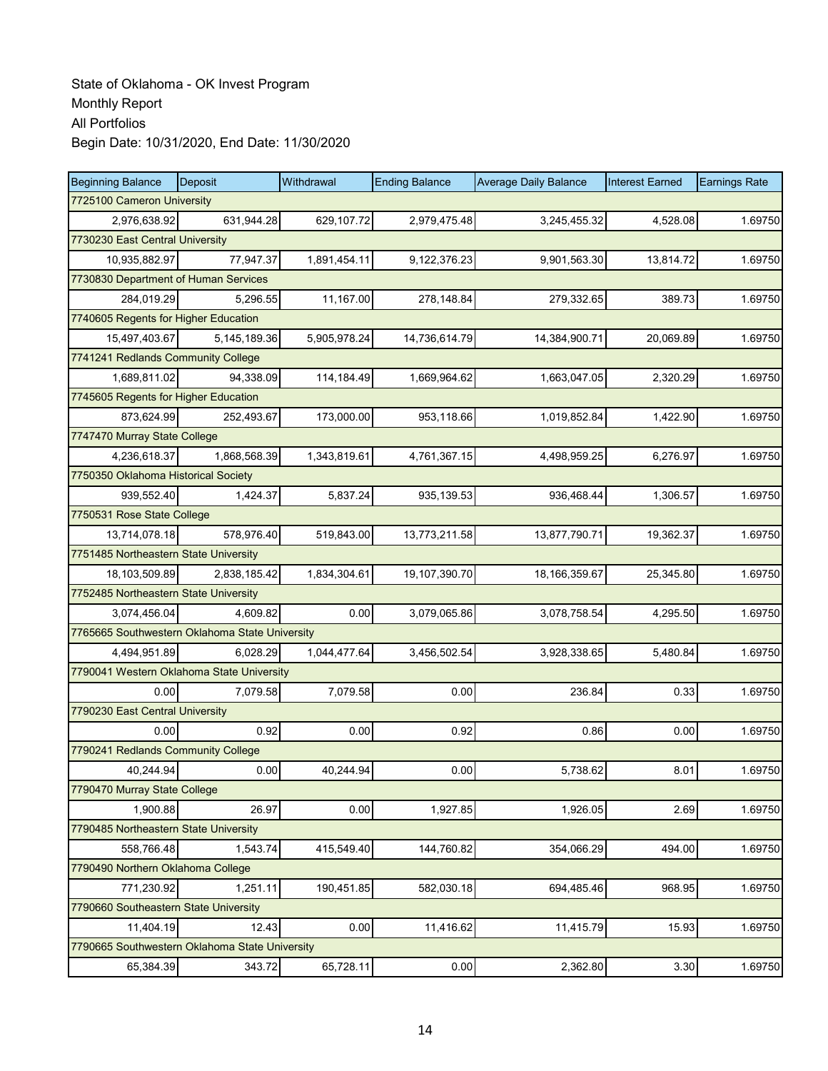| <b>Beginning Balance</b>              | <b>Deposit</b>                                 | Withdrawal   | <b>Ending Balance</b> | <b>Average Daily Balance</b> | <b>Interest Earned</b> | <b>Earnings Rate</b> |  |  |  |
|---------------------------------------|------------------------------------------------|--------------|-----------------------|------------------------------|------------------------|----------------------|--|--|--|
| 7725100 Cameron University            |                                                |              |                       |                              |                        |                      |  |  |  |
| 2,976,638.92                          | 631,944.28                                     | 629,107.72   | 2,979,475.48          | 3,245,455.32                 | 4,528.08               | 1.69750              |  |  |  |
| 7730230 East Central University       |                                                |              |                       |                              |                        |                      |  |  |  |
| 10,935,882.97                         | 77,947.37                                      | 1,891,454.11 | 9,122,376.23          | 9,901,563.30                 | 13,814.72              | 1.69750              |  |  |  |
|                                       | 7730830 Department of Human Services           |              |                       |                              |                        |                      |  |  |  |
| 284,019.29                            | 5,296.55                                       | 11,167.00    | 278,148.84            | 279,332.65                   | 389.73                 | 1.69750              |  |  |  |
| 7740605 Regents for Higher Education  |                                                |              |                       |                              |                        |                      |  |  |  |
| 15,497,403.67                         | 5,145,189.36                                   | 5,905,978.24 | 14,736,614.79         | 14,384,900.71                | 20,069.89              | 1.69750              |  |  |  |
| 7741241 Redlands Community College    |                                                |              |                       |                              |                        |                      |  |  |  |
| 1,689,811.02                          | 94,338.09                                      | 114,184.49   | 1,669,964.62          | 1,663,047.05                 | 2,320.29               | 1.69750              |  |  |  |
| 7745605 Regents for Higher Education  |                                                |              |                       |                              |                        |                      |  |  |  |
| 873,624.99                            | 252,493.67                                     | 173,000.00   | 953,118.66            | 1,019,852.84                 | 1,422.90               | 1.69750              |  |  |  |
| 7747470 Murray State College          |                                                |              |                       |                              |                        |                      |  |  |  |
| 4,236,618.37                          | 1,868,568.39                                   | 1,343,819.61 | 4,761,367.15          | 4,498,959.25                 | 6,276.97               | 1.69750              |  |  |  |
| 7750350 Oklahoma Historical Society   |                                                |              |                       |                              |                        |                      |  |  |  |
| 939,552.40                            | 1,424.37                                       | 5,837.24     | 935,139.53            | 936,468.44                   | 1,306.57               | 1.69750              |  |  |  |
| 7750531 Rose State College            |                                                |              |                       |                              |                        |                      |  |  |  |
| 13,714,078.18                         | 578,976.40                                     | 519,843.00   | 13,773,211.58         | 13,877,790.71                | 19,362.37              | 1.69750              |  |  |  |
| 7751485 Northeastern State University |                                                |              |                       |                              |                        |                      |  |  |  |
| 18,103,509.89                         | 2,838,185.42                                   | 1,834,304.61 | 19,107,390.70         | 18,166,359.67                | 25,345.80              | 1.69750              |  |  |  |
| 7752485 Northeastern State University |                                                |              |                       |                              |                        |                      |  |  |  |
| 3,074,456.04                          | 4,609.82                                       | 0.00         | 3,079,065.86          | 3,078,758.54                 | 4,295.50               | 1.69750              |  |  |  |
|                                       | 7765665 Southwestern Oklahoma State University |              |                       |                              |                        |                      |  |  |  |
| 4,494,951.89                          | 6,028.29                                       | 1,044,477.64 | 3,456,502.54          | 3,928,338.65                 | 5,480.84               | 1.69750              |  |  |  |
|                                       | 7790041 Western Oklahoma State University      |              |                       |                              |                        |                      |  |  |  |
| 0.00                                  | 7,079.58                                       | 7,079.58     | 0.00                  | 236.84                       | 0.33                   | 1.69750              |  |  |  |
| 7790230 East Central University       |                                                |              |                       |                              |                        |                      |  |  |  |
| 0.00                                  | 0.92                                           | 0.00         | 0.92                  | 0.86                         | 0.00                   | 1.69750              |  |  |  |
| 7790241 Redlands Community College    |                                                |              |                       |                              |                        |                      |  |  |  |
| 40,244.94                             | 0.00                                           | 40,244.94    | 0.00                  | 5,738.62                     | 8.01                   | 1.69750              |  |  |  |
| 7790470 Murray State College          |                                                |              |                       |                              |                        |                      |  |  |  |
| 1,900.88                              | 26.97                                          | 0.00         | 1,927.85              | 1,926.05                     | 2.69                   | 1.69750              |  |  |  |
| 7790485 Northeastern State University |                                                |              |                       |                              |                        |                      |  |  |  |
| 558,766.48                            | 1,543.74                                       | 415,549.40   | 144,760.82            | 354,066.29                   | 494.00                 | 1.69750              |  |  |  |
| 7790490 Northern Oklahoma College     |                                                |              |                       |                              |                        |                      |  |  |  |
| 771,230.92                            | 1,251.11                                       | 190,451.85   | 582,030.18            | 694,485.46                   | 968.95                 | 1.69750              |  |  |  |
| 7790660 Southeastern State University |                                                |              |                       |                              |                        |                      |  |  |  |
| 11,404.19                             | 12.43                                          | 0.00         | 11,416.62             | 11,415.79                    | 15.93                  | 1.69750              |  |  |  |
|                                       | 7790665 Southwestern Oklahoma State University |              |                       |                              |                        |                      |  |  |  |
| 65,384.39                             | 343.72                                         | 65,728.11    | 0.00                  | 2,362.80                     | 3.30                   | 1.69750              |  |  |  |